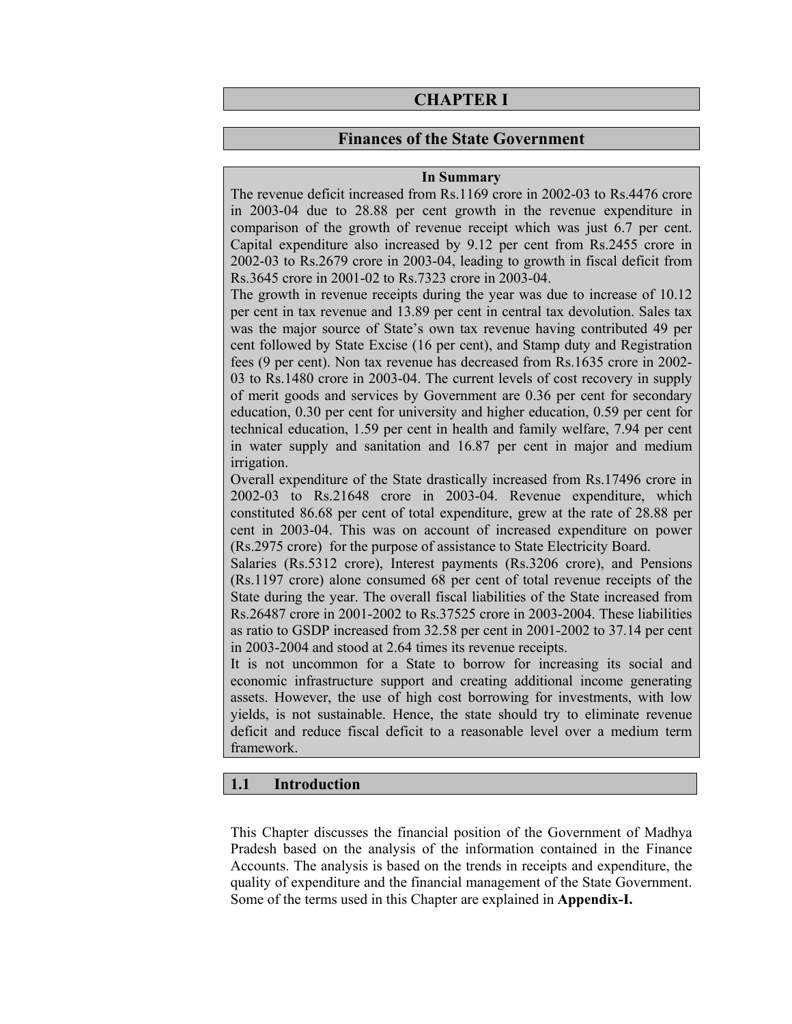# **CHAPTER I**

### **Finances of the State Government**

#### **In Summary**

The revenue deficit increased from Rs.1169 crore in 2002-03 to Rs.4476 crore in 2003-04 due to 28.88 per cent growth in the revenue expenditure in comparison of the growth of revenue receipt which was just 6.7 per cent. Capital expenditure also increased by 9.12 per cent from Rs.2455 crore in 2002-03 to Rs.2679 crore in 2003-04, leading to growth in fiscal deficit from Rs.3645 crore in 2001-02 to Rs.7323 crore in 2003-04.

The growth in revenue receipts during the year was due to increase of 10.12 per cent in tax revenue and 13.89 per cent in central tax devolution. Sales tax was the major source of State's own tax revenue having contributed 49 per cent followed by State Excise (16 per cent), and Stamp duty and Registration fees (9 per cent). Non tax revenue has decreased from Rs.1635 crore in 2002- 03 to Rs.1480 crore in 2003-04. The current levels of cost recovery in supply of merit goods and services by Government are 0.36 per cent for secondary education, 0.30 per cent for university and higher education, 0.59 per cent for technical education, 1.59 per cent in health and family welfare, 7.94 per cent in water supply and sanitation and 16.87 per cent in major and medium irrigation.

Overall expenditure of the State drastically increased from Rs.17496 crore in 2002-03 to Rs.21648 crore in 2003-04. Revenue expenditure, which constituted 86.68 per cent of total expenditure, grew at the rate of 28.88 per cent in 2003-04. This was on account of increased expenditure on power (Rs.2975 crore) for the purpose of assistance to State Electricity Board.

Salaries (Rs.5312 crore), Interest payments (Rs.3206 crore), and Pensions (Rs.1197 crore) alone consumed 68 per cent of total revenue receipts of the State during the year. The overall fiscal liabilities of the State increased from Rs.26487 crore in 2001-2002 to Rs.37525 crore in 2003-2004. These liabilities as ratio to GSDP increased from 32.58 per cent in 2001-2002 to 37.14 per cent in 2003-2004 and stood at 2.64 times its revenue receipts.

It is not uncommon for a State to borrow for increasing its social and economic infrastructure support and creating additional income generating assets. However, the use of high cost borrowing for investments, with low yields, is not sustainable. Hence, the state should try to eliminate revenue deficit and reduce fiscal deficit to a reasonable level over a medium term framework.

### **1.1 Introduction**

This Chapter discusses the financial position of the Government of Madhya Pradesh based on the analysis of the information contained in the Finance Accounts. The analysis is based on the trends in receipts and expenditure, the quality of expenditure and the financial management of the State Government. Some of the terms used in this Chapter are explained in **Appendix-I.**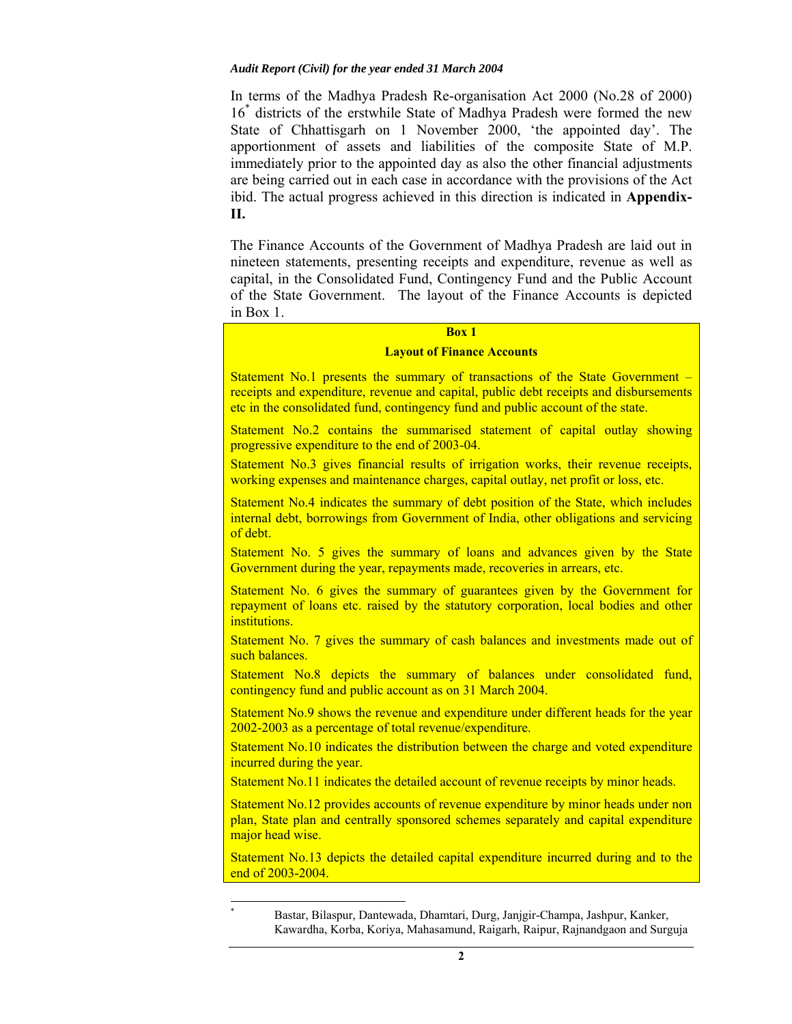In terms of the Madhya Pradesh Re-organisation Act 2000 (No.28 of 2000) 16\* districts of the erstwhile State of Madhya Pradesh were formed the new State of Chhattisgarh on 1 November 2000, 'the appointed day'. The apportionment of assets and liabilities of the composite State of M.P. immediately prior to the appointed day as also the other financial adjustments are being carried out in each case in accordance with the provisions of the Act ibid. The actual progress achieved in this direction is indicated in **Appendix-II.**

The Finance Accounts of the Government of Madhya Pradesh are laid out in nineteen statements, presenting receipts and expenditure, revenue as well as capital, in the Consolidated Fund, Contingency Fund and the Public Account of the State Government. The layout of the Finance Accounts is depicted in Box 1.

### **Box 1**

#### **Layout of Finance Accounts**

Statement No.1 presents the summary of transactions of the State Government – receipts and expenditure, revenue and capital, public debt receipts and disbursements etc in the consolidated fund, contingency fund and public account of the state.

Statement No.2 contains the summarised statement of capital outlay showing progressive expenditure to the end of 2003-04.

Statement No.3 gives financial results of irrigation works, their revenue receipts, working expenses and maintenance charges, capital outlay, net profit or loss, etc.

Statement No.4 indicates the summary of debt position of the State, which includes internal debt, borrowings from Government of India, other obligations and servicing of debt.

Statement No. 5 gives the summary of loans and advances given by the State Government during the year, repayments made, recoveries in arrears, etc.

Statement No. 6 gives the summary of guarantees given by the Government for repayment of loans etc. raised by the statutory corporation, local bodies and other institutions.

Statement No. 7 gives the summary of cash balances and investments made out of such balances.

Statement No.8 depicts the summary of balances under consolidated fund, contingency fund and public account as on 31 March 2004.

Statement No.9 shows the revenue and expenditure under different heads for the year 2002-2003 as a percentage of total revenue/expenditure.

Statement No.10 indicates the distribution between the charge and voted expenditure incurred during the year.

Statement No.11 indicates the detailed account of revenue receipts by minor heads.

Statement No.12 provides accounts of revenue expenditure by minor heads under non plan, State plan and centrally sponsored schemes separately and capital expenditure major head wise.

Statement No.13 depicts the detailed capital expenditure incurred during and to the end of 2003-2004.

 $\overline{a}$ 

<sup>\*</sup> Bastar, Bilaspur, Dantewada, Dhamtari, Durg, Janjgir-Champa, Jashpur, Kanker, Kawardha, Korba, Koriya, Mahasamund, Raigarh, Raipur, Rajnandgaon and Surguja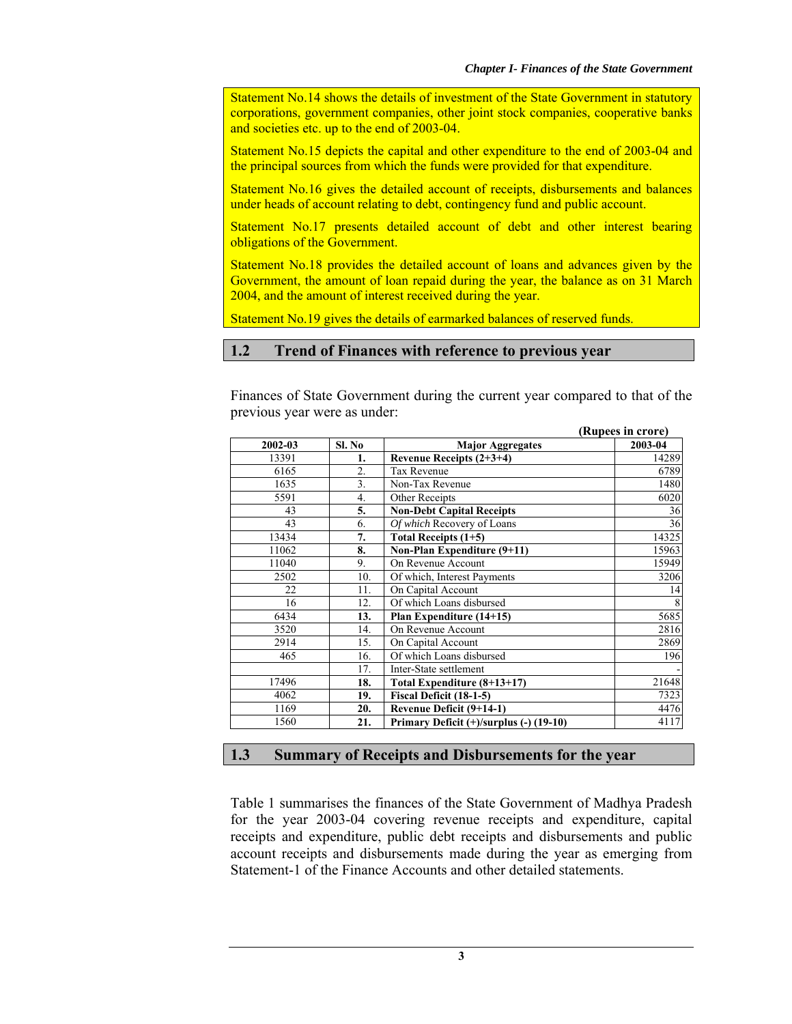Statement No.14 shows the details of investment of the State Government in statutory corporations, government companies, other joint stock companies, cooperative banks and societies etc. up to the end of 2003-04.

Statement No.15 depicts the capital and other expenditure to the end of 2003-04 and the principal sources from which the funds were provided for that expenditure.

Statement No.16 gives the detailed account of receipts, disbursements and balances under heads of account relating to debt, contingency fund and public account.

Statement No.17 presents detailed account of debt and other interest bearing obligations of the Government.

Statement No.18 provides the detailed account of loans and advances given by the Government, the amount of loan repaid during the year, the balance as on 31 March 2004, and the amount of interest received during the year.

Statement No.19 gives the details of earmarked balances of reserved funds.

### **1.2 Trend of Finances with reference to previous year**

Finances of State Government during the current year compared to that of the previous year were as under:

|         |                  |                                         | (Rupees in crore) |
|---------|------------------|-----------------------------------------|-------------------|
| 2002-03 | Sl. No           | <b>Major Aggregates</b>                 | 2003-04           |
| 13391   | 1.               | Revenue Receipts $(2+3+4)$              | 14289             |
| 6165    | 2.               | <b>Tax Revenue</b>                      | 6789              |
| 1635    | $\overline{3}$ . | Non-Tax Revenue                         | 1480              |
| 5591    | $\overline{4}$ . | Other Receipts                          | 6020              |
| 43      | 5.               | <b>Non-Debt Capital Receipts</b>        | 36                |
| 43      | 6.               | Of which Recovery of Loans              | 36                |
| 13434   | 7.               | Total Receipts $(1+5)$                  | 14325             |
| 11062   | 8.               | Non-Plan Expenditure (9+11)             | 15963             |
| 11040   | 9.               | On Revenue Account                      | 15949             |
| 2502    | 10.              | Of which, Interest Payments             | 3206              |
| 22      | 11.              | On Capital Account                      | 14                |
| 16      | 12.              | Of which Loans disbursed                |                   |
| 6434    | 13.              | Plan Expenditure (14+15)                | 5685              |
| 3520    | 14.              | On Revenue Account                      | 2816              |
| 2914    | 15.              | On Capital Account                      | 2869              |
| 465     | 16.              | Of which Loans disbursed                | 196               |
|         | 17.              | Inter-State settlement                  |                   |
| 17496   | 18.              | Total Expenditure (8+13+17)             | 21648             |
| 4062    | 19.              | Fiscal Deficit (18-1-5)                 | 7323              |
| 1169    | 20.              | Revenue Deficit (9+14-1)                | 4476              |
| 1560    | 21.              | Primary Deficit (+)/surplus (-) (19-10) | 4117              |

# **1.3 Summary of Receipts and Disbursements for the year**

Table 1 summarises the finances of the State Government of Madhya Pradesh for the year 2003-04 covering revenue receipts and expenditure, capital receipts and expenditure, public debt receipts and disbursements and public account receipts and disbursements made during the year as emerging from Statement-1 of the Finance Accounts and other detailed statements.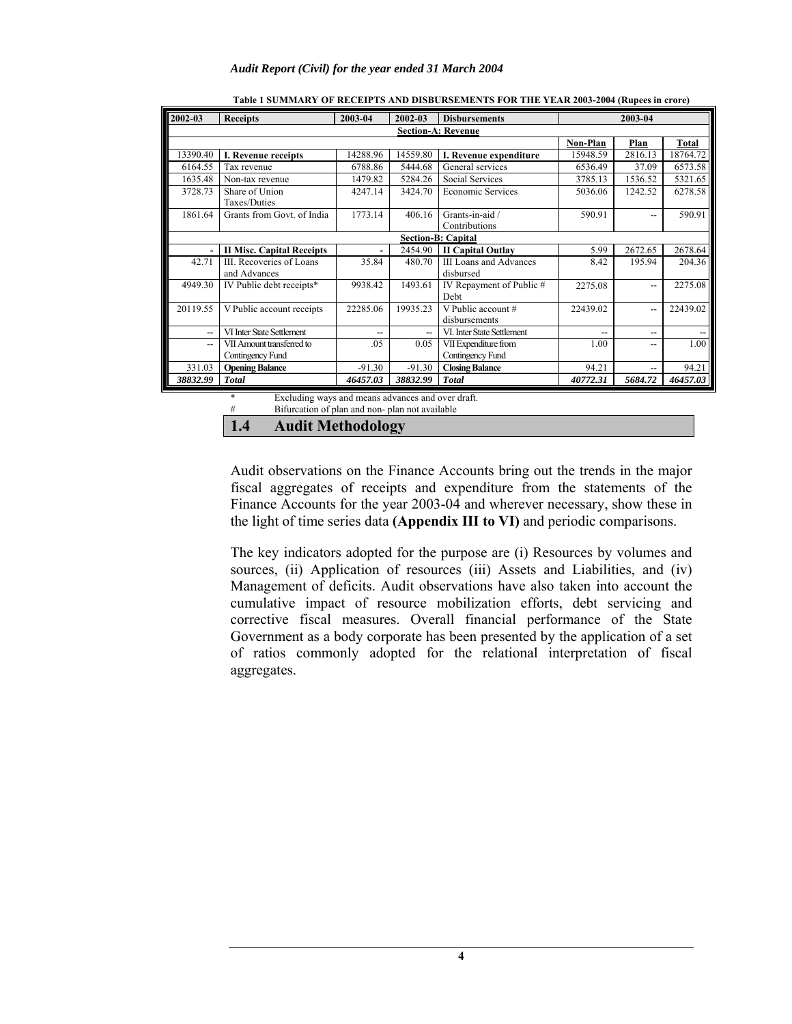| 2002-03                  | <b>Receipts</b>                          | 2003-04  | 2002-03  | <b>Disbursements</b>                       | 2003-04  |                |              |
|--------------------------|------------------------------------------|----------|----------|--------------------------------------------|----------|----------------|--------------|
|                          |                                          |          |          | <b>Section-A: Revenue</b>                  |          |                |              |
|                          |                                          |          |          |                                            | Non-Plan | Plan           | <b>Total</b> |
| 13390.40                 | I. Revenue receipts                      | 14288.96 | 14559.80 | I. Revenue expenditure                     | 15948.59 | 2816.13        | 18764.72     |
| 6164.55                  | Tax revenue                              | 6788.86  | 5444.68  | General services                           | 6536.49  | 37.09          | 6573.58      |
| 1635.48                  | Non-tax revenue                          | 1479.82  | 5284.26  | Social Services                            | 3785.13  | 1536.52        | 5321.65      |
| 3728.73                  | Share of Union<br>Taxes/Duties           | 4247.14  | 3424.70  | <b>Economic Services</b>                   | 5036.06  | 1242.52        | 6278.58      |
| 1861.64                  | Grants from Govt. of India               | 1773.14  | 406.16   | Grants-in-aid /<br>Contributions           | 590.91   | --             | 590.91       |
|                          |                                          |          |          | <b>Section-B: Capital</b>                  |          |                |              |
|                          | <b>II Misc. Capital Receipts</b>         |          | 2454.90  | <b>II Capital Outlay</b>                   | 5.99     | 2672.65        | 2678.64      |
| 42.71                    | III. Recoveries of Loans<br>and Advances | 35.84    | 480.70   | <b>III Loans and Advances</b><br>disbursed | 8.42     | 195.94         | 204.36       |
| 4949.30                  | IV Public debt receipts*                 | 9938.42  | 1493.61  | IV Repayment of Public #<br>Debt           | 2275.08  | $-$            | 2275.08      |
| 20119.55                 | V Public account receipts                | 22285.06 | 19935.23 | V Public account #<br>disbursements        | 22439.02 | $\overline{a}$ | 22439.02     |
| $\overline{\phantom{0}}$ | VI Inter State Settlement                | $-$      | $-$      | VI. Inter State Settlement                 | $- -$    | $- -$          |              |
| --                       | VII Amount transferred to                | .05      | 0.05     | VII Expenditure from                       | 1.00     | --             | 1.00         |
|                          | Contingency Fund                         |          |          | Contingency Fund                           |          |                |              |
| 331.03                   | <b>Opening Balance</b>                   | $-91.30$ | $-91.30$ | <b>Closing Balance</b>                     | 94.21    | $-$            | 94.21        |
| 38832.99                 | <b>Total</b>                             | 46457.03 | 38832.99 | <b>Total</b>                               | 40772.31 | 5684.72        | 46457.03     |

|  | Table 1 SUMMARY OF RECEIPTS AND DISBURSEMENTS FOR THE YEAR 2003-2004 (Rupees in crore) |
|--|----------------------------------------------------------------------------------------|
|  |                                                                                        |

Excluding ways and means advances and over draft. Bifurcation of plan and non- plan not available

**1.4 Audit Methodology** 

Audit observations on the Finance Accounts bring out the trends in the major fiscal aggregates of receipts and expenditure from the statements of the Finance Accounts for the year 2003-04 and wherever necessary, show these in the light of time series data **(Appendix III to VI)** and periodic comparisons.

The key indicators adopted for the purpose are (i) Resources by volumes and sources, (ii) Application of resources (iii) Assets and Liabilities, and (iv) Management of deficits. Audit observations have also taken into account the cumulative impact of resource mobilization efforts, debt servicing and corrective fiscal measures. Overall financial performance of the State Government as a body corporate has been presented by the application of a set of ratios commonly adopted for the relational interpretation of fiscal aggregates.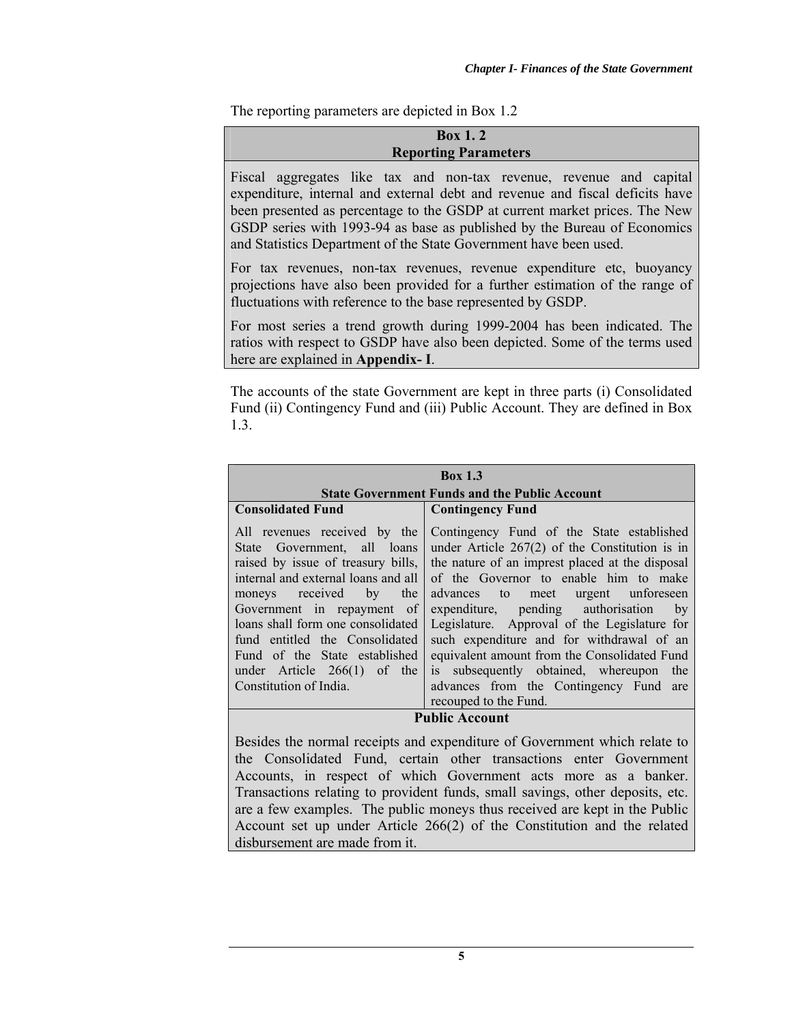The reporting parameters are depicted in Box 1.2

| <b>Box 1.2</b><br><b>Reporting Parameters</b>                                                                                                                                                                                                                                                                                                                                      |  |  |  |  |  |
|------------------------------------------------------------------------------------------------------------------------------------------------------------------------------------------------------------------------------------------------------------------------------------------------------------------------------------------------------------------------------------|--|--|--|--|--|
| Fiscal aggregates like tax and non-tax revenue, revenue and capital<br>expenditure, internal and external debt and revenue and fiscal deficits have<br>been presented as percentage to the GSDP at current market prices. The New<br>GSDP series with 1993-94 as base as published by the Bureau of Economics<br>and Statistics Department of the State Government have been used. |  |  |  |  |  |
| For tax revenues, non-tax revenues, revenue expenditure etc, buoyancy<br>projections have also been provided for a further estimation of the range of<br>fluctuations with reference to the base represented by GSDP.                                                                                                                                                              |  |  |  |  |  |
| For most series a trend growth during 1999-2004 has been indicated. The<br>ratios with respect to GSDP have also been depicted. Some of the terms used<br>here are explained in Appendix- I.                                                                                                                                                                                       |  |  |  |  |  |

The accounts of the state Government are kept in three parts (i) Consolidated Fund (ii) Contingency Fund and (iii) Public Account. They are defined in Box 1.3.

| <b>Box 1.3</b><br><b>State Government Funds and the Public Account</b>                                                                                                                                                                                                                                                                                                    |                                                                                                                                                                                                                                                                                                                                                                                                                                                                                                                                           |  |  |  |  |  |
|---------------------------------------------------------------------------------------------------------------------------------------------------------------------------------------------------------------------------------------------------------------------------------------------------------------------------------------------------------------------------|-------------------------------------------------------------------------------------------------------------------------------------------------------------------------------------------------------------------------------------------------------------------------------------------------------------------------------------------------------------------------------------------------------------------------------------------------------------------------------------------------------------------------------------------|--|--|--|--|--|
| <b>Consolidated Fund</b>                                                                                                                                                                                                                                                                                                                                                  | <b>Contingency Fund</b>                                                                                                                                                                                                                                                                                                                                                                                                                                                                                                                   |  |  |  |  |  |
| All revenues received by the<br>State Government, all loans<br>raised by issue of treasury bills,<br>internal and external loans and all<br>moneys received<br>the<br>by<br>Government in repayment of<br>loans shall form one consolidated<br>fund entitled the Consolidated<br>Fund of the State established<br>under Article $266(1)$ of the<br>Constitution of India. | Contingency Fund of the State established<br>under Article $267(2)$ of the Constitution is in<br>the nature of an imprest placed at the disposal<br>of the Governor to enable him to make<br>advances to meet urgent unforeseen<br>expenditure, pending authorisation<br>by<br>Legislature. Approval of the Legislature for<br>such expenditure and for withdrawal of an<br>equivalent amount from the Consolidated Fund<br>is subsequently obtained, whereupon<br>the<br>advances from the Contingency Fund are<br>recouped to the Fund. |  |  |  |  |  |

### **Public Account**

Besides the normal receipts and expenditure of Government which relate to the Consolidated Fund, certain other transactions enter Government Accounts, in respect of which Government acts more as a banker. Transactions relating to provident funds, small savings, other deposits, etc. are a few examples. The public moneys thus received are kept in the Public Account set up under Article 266(2) of the Constitution and the related disbursement are made from it.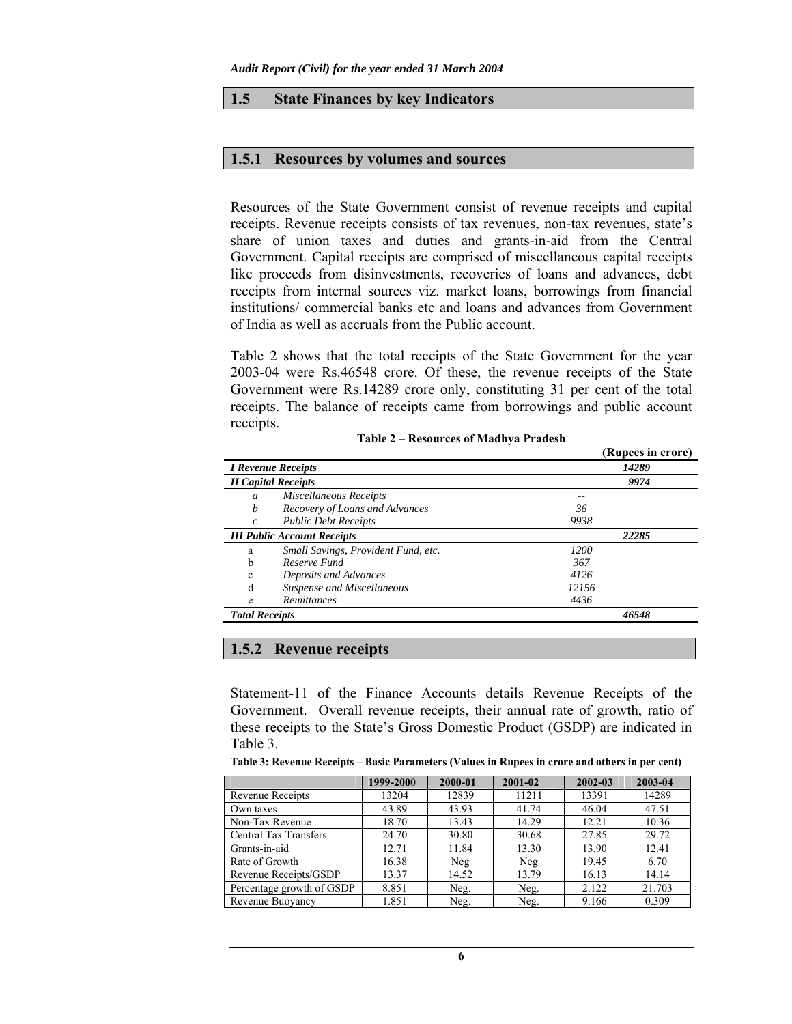#### **1.5 State Finances by key Indicators**

#### **1.5.1 Resources by volumes and sources**

Resources of the State Government consist of revenue receipts and capital receipts. Revenue receipts consists of tax revenues, non-tax revenues, state's share of union taxes and duties and grants-in-aid from the Central Government. Capital receipts are comprised of miscellaneous capital receipts like proceeds from disinvestments, recoveries of loans and advances, debt receipts from internal sources viz. market loans, borrowings from financial institutions/ commercial banks etc and loans and advances from Government of India as well as accruals from the Public account.

Table 2 shows that the total receipts of the State Government for the year 2003-04 were Rs.46548 crore. Of these, the revenue receipts of the State Government were Rs.14289 crore only, constituting 31 per cent of the total receipts. The balance of receipts came from borrowings and public account receipts.

|                       |                                     |       | (Rupees in crore) |  |
|-----------------------|-------------------------------------|-------|-------------------|--|
|                       | <b>I Revenue Receipts</b>           |       | 14289             |  |
|                       | <b>II Capital Receipts</b>          |       | 9974              |  |
| a                     | Miscellaneous Receipts              |       |                   |  |
| b                     | Recovery of Loans and Advances      | 36    |                   |  |
| c                     | <b>Public Debt Receipts</b>         | 9938  |                   |  |
|                       | <b>III Public Account Receipts</b>  |       | 22285             |  |
| a                     | Small Savings, Provident Fund, etc. | 1200  |                   |  |
| b                     | Reserve Fund                        | 367   |                   |  |
| $\mathbf c$           | Deposits and Advances               | 4126  |                   |  |
| d                     | Suspense and Miscellaneous          | 12156 |                   |  |
| e                     | Remittances                         | 4436  |                   |  |
| <b>Total Receipts</b> |                                     |       | 46548             |  |

|  | Table 2 – Resources of Madhya Pradesh |  |  |
|--|---------------------------------------|--|--|
|  |                                       |  |  |

### **1.5.2 Revenue receipts**

Statement-11 of the Finance Accounts details Revenue Receipts of the Government. Overall revenue receipts, their annual rate of growth, ratio of these receipts to the State's Gross Domestic Product (GSDP) are indicated in Table 3.

**Table 3: Revenue Receipts – Basic Parameters (Values in Rupees in crore and others in per cent)**

|                              | 1999-2000 | 2000-01 | 2001-02 | 2002-03 | 2003-04 |
|------------------------------|-----------|---------|---------|---------|---------|
| Revenue Receipts             | 13204     | 12839   | 11211   | 13391   | 14289   |
| Own taxes                    | 43.89     | 43.93   | 41.74   | 46.04   | 47.51   |
| Non-Tax Revenue              | 18.70     | 13.43   | 14.29   | 12.21   | 10.36   |
| <b>Central Tax Transfers</b> | 24.70     | 30.80   | 30.68   | 27.85   | 29.72   |
| Grants-in-aid                | 12.71     | 11.84   | 13.30   | 13.90   | 12.41   |
| Rate of Growth               | 16.38     | Neg     | Neg     | 19.45   | 6.70    |
| Revenue Receipts/GSDP        | 13.37     | 14.52   | 13.79   | 16.13   | 14.14   |
| Percentage growth of GSDP    | 8.851     | Neg.    | Neg.    | 2.122   | 21.703  |
| Revenue Buoyancy             | 1.851     | Neg.    | Neg.    | 9.166   | 0.309   |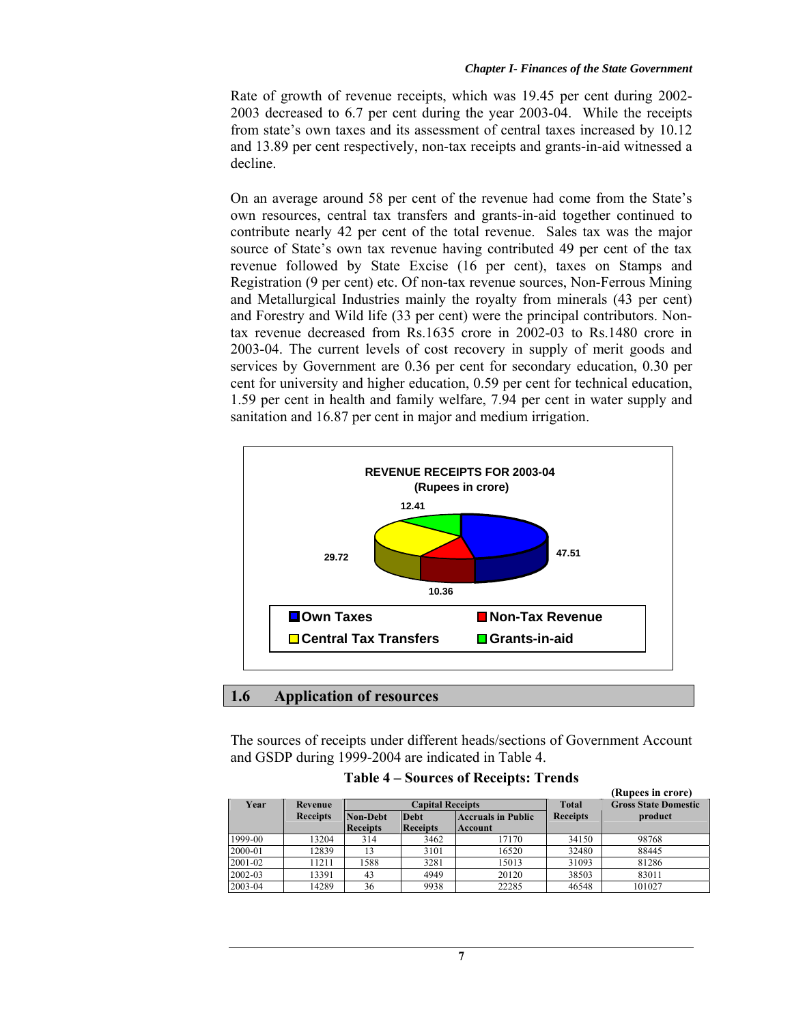Rate of growth of revenue receipts, which was 19.45 per cent during 2002- 2003 decreased to 6.7 per cent during the year 2003-04. While the receipts from state's own taxes and its assessment of central taxes increased by 10.12 and 13.89 per cent respectively, non-tax receipts and grants-in-aid witnessed a decline.

On an average around 58 per cent of the revenue had come from the State's own resources, central tax transfers and grants-in-aid together continued to contribute nearly 42 per cent of the total revenue. Sales tax was the major source of State's own tax revenue having contributed 49 per cent of the tax revenue followed by State Excise (16 per cent), taxes on Stamps and Registration (9 per cent) etc. Of non-tax revenue sources, Non-Ferrous Mining and Metallurgical Industries mainly the royalty from minerals (43 per cent) and Forestry and Wild life (33 per cent) were the principal contributors. Nontax revenue decreased from Rs.1635 crore in 2002-03 to Rs.1480 crore in 2003-04. The current levels of cost recovery in supply of merit goods and services by Government are 0.36 per cent for secondary education, 0.30 per cent for university and higher education, 0.59 per cent for technical education, 1.59 per cent in health and family welfare, 7.94 per cent in water supply and sanitation and 16.87 per cent in major and medium irrigation.



**1.6 Application of resources**

The sources of receipts under different heads/sections of Government Account and GSDP during 1999-2004 are indicated in Table 4.

| <b>Table 4 – Sources of Receipts: Trends</b> |  |  |  |  |  |  |
|----------------------------------------------|--|--|--|--|--|--|
|----------------------------------------------|--|--|--|--|--|--|

|         |                 |                 |                         |                           |                 | (Rupees in crore)           |
|---------|-----------------|-----------------|-------------------------|---------------------------|-----------------|-----------------------------|
| Year    | Revenue         |                 | <b>Capital Receipts</b> |                           | <b>Total</b>    | <b>Gross State Domestic</b> |
|         | <b>Receipts</b> | Non-Debt        | <b>Debt</b>             | <b>Accruals in Public</b> | <b>Receipts</b> | product                     |
|         |                 | <b>Receipts</b> | <b>Receipts</b>         | Account                   |                 |                             |
| 1999-00 | 13204           | 314             | 3462                    | 17170                     | 34150           | 98768                       |
| 2000-01 | 12839           | 13              | 3101                    | 16520                     | 32480           | 88445                       |
| 2001-02 | 11211           | 1588            | 3281                    | 15013                     | 31093           | 81286                       |
| 2002-03 | 13391           | 43              | 4949                    | 20120                     | 38503           | 83011                       |
| 2003-04 | 14289           | 36              | 9938                    | 22285                     | 46548           | 101027                      |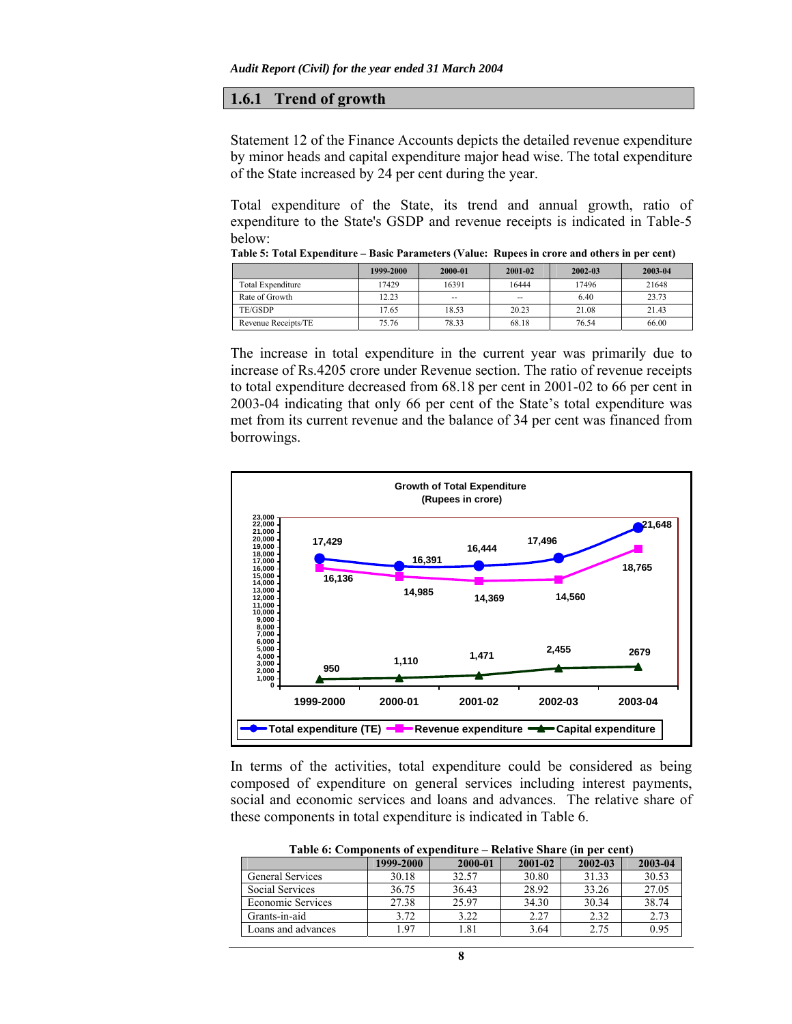### **1.6.1 Trend of growth**

Statement 12 of the Finance Accounts depicts the detailed revenue expenditure by minor heads and capital expenditure major head wise. The total expenditure of the State increased by 24 per cent during the year.

Total expenditure of the State, its trend and annual growth, ratio of expenditure to the State's GSDP and revenue receipts is indicated in Table-5 below:

|                     | 1999-2000 | 2000-01                  | 2001-02                  | 2002-03 | 2003-04 |
|---------------------|-----------|--------------------------|--------------------------|---------|---------|
| Total Expenditure   | 17429     | 16391                    | 16444                    | 17496   | 21648   |
| Rate of Growth      | 12.23     | $\overline{\phantom{a}}$ | $\overline{\phantom{m}}$ | 6.40    | 23.73   |
| TE/GSDP             | 17.65     | 18.53                    | 20.23                    | 21.08   | 21.43   |
| Revenue Receipts/TE | 75.76     | 78.33                    | 68.18                    | 76.54   | 66.00   |

**Table 5: Total Expenditure – Basic Parameters (Value: Rupees in crore and others in per cent)**

The increase in total expenditure in the current year was primarily due to increase of Rs.4205 crore under Revenue section. The ratio of revenue receipts to total expenditure decreased from 68.18 per cent in 2001-02 to 66 per cent in 2003-04 indicating that only 66 per cent of the State's total expenditure was met from its current revenue and the balance of 34 per cent was financed from borrowings.



In terms of the activities, total expenditure could be considered as being composed of expenditure on general services including interest payments, social and economic services and loans and advances. The relative share of these components in total expenditure is indicated in Table 6.

| Table 0. Components of expenditure – Relative Share (in per cent) |           |         |         |         |         |  |  |  |
|-------------------------------------------------------------------|-----------|---------|---------|---------|---------|--|--|--|
|                                                                   | 1999-2000 | 2000-01 | 2001-02 | 2002-03 | 2003-04 |  |  |  |
| <b>General Services</b>                                           | 30.18     | 32.57   | 30.80   | 31.33   | 30.53   |  |  |  |
| Social Services                                                   | 36.75     | 36.43   | 28.92   | 33.26   | 27.05   |  |  |  |
| Economic Services                                                 | 27.38     | 25.97   | 34.30   | 30.34   | 38.74   |  |  |  |
| Grants-in-aid                                                     | 3.72      | 3.22    | 2.27    | 2.32    | 2.73    |  |  |  |
| Loans and advances                                                | 1.97      | 1.81    | 3.64    | 2.75    | 0.95    |  |  |  |
|                                                                   |           |         |         |         |         |  |  |  |

**Table 6: Components of expenditure – Relative Share (in per cent)**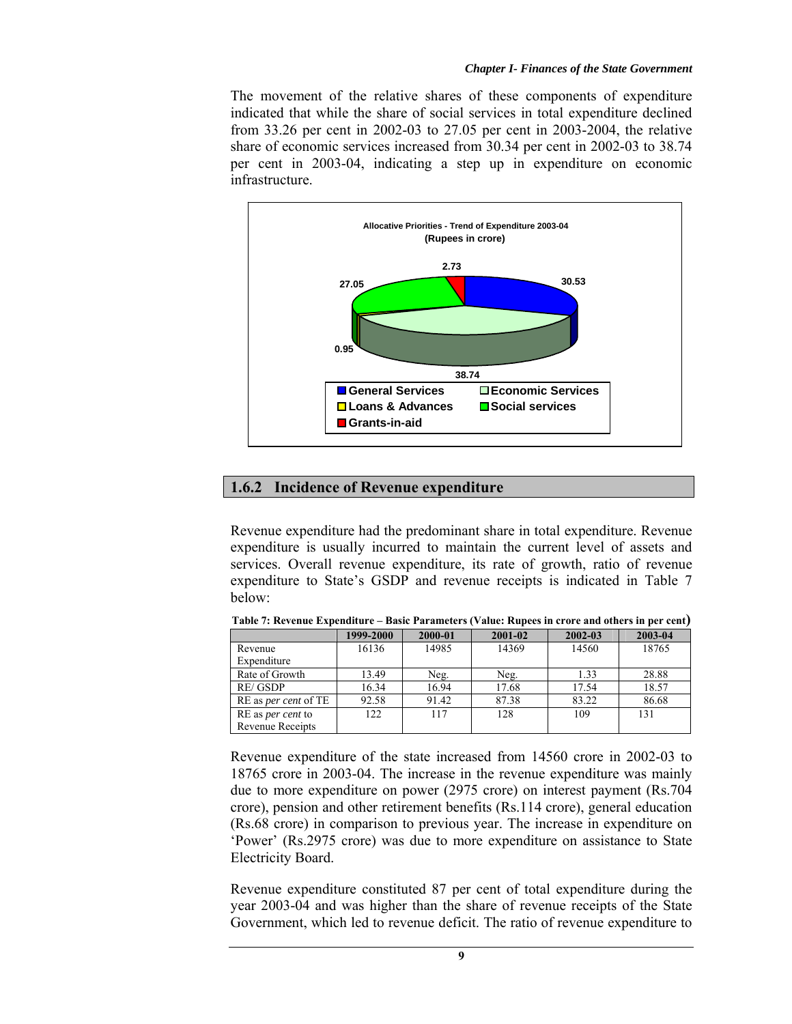The movement of the relative shares of these components of expenditure indicated that while the share of social services in total expenditure declined from 33.26 per cent in 2002-03 to 27.05 per cent in 2003-2004, the relative share of economic services increased from 30.34 per cent in 2002-03 to 38.74 per cent in 2003-04, indicating a step up in expenditure on economic infrastructure.



### **1.6.2 Incidence of Revenue expenditure**

Revenue expenditure had the predominant share in total expenditure. Revenue expenditure is usually incurred to maintain the current level of assets and services. Overall revenue expenditure, its rate of growth, ratio of revenue expenditure to State's GSDP and revenue receipts is indicated in Table 7 below:

|                             | 1999-2000 | 2000-01 | 2001-02 | 2002-03 | 2003-04 |
|-----------------------------|-----------|---------|---------|---------|---------|
| Revenue                     | 16136     | 14985   | 14369   | 14560   | 18765   |
| Expenditure                 |           |         |         |         |         |
| Rate of Growth              | 13.49     | Neg.    | Neg.    | 1.33    | 28.88   |
| RE/GSDP                     | 16.34     | 16.94   | 17.68   | 17.54   | 18.57   |
| RE as <i>per cent</i> of TE | 92.58     | 91.42   | 87.38   | 83.22   | 86.68   |
| RE as <i>per cent</i> to    | 122       | 117     | 128     | 109     | 131     |
| <b>Revenue Receipts</b>     |           |         |         |         |         |

**Table 7: Revenue Expenditure – Basic Parameters (Value: Rupees in crore and others in per cent)** 

Revenue expenditure of the state increased from 14560 crore in 2002-03 to 18765 crore in 2003-04. The increase in the revenue expenditure was mainly due to more expenditure on power (2975 crore) on interest payment (Rs.704 crore), pension and other retirement benefits (Rs.114 crore), general education (Rs.68 crore) in comparison to previous year. The increase in expenditure on 'Power' (Rs.2975 crore) was due to more expenditure on assistance to State Electricity Board.

Revenue expenditure constituted 87 per cent of total expenditure during the year 2003-04 and was higher than the share of revenue receipts of the State Government, which led to revenue deficit. The ratio of revenue expenditure to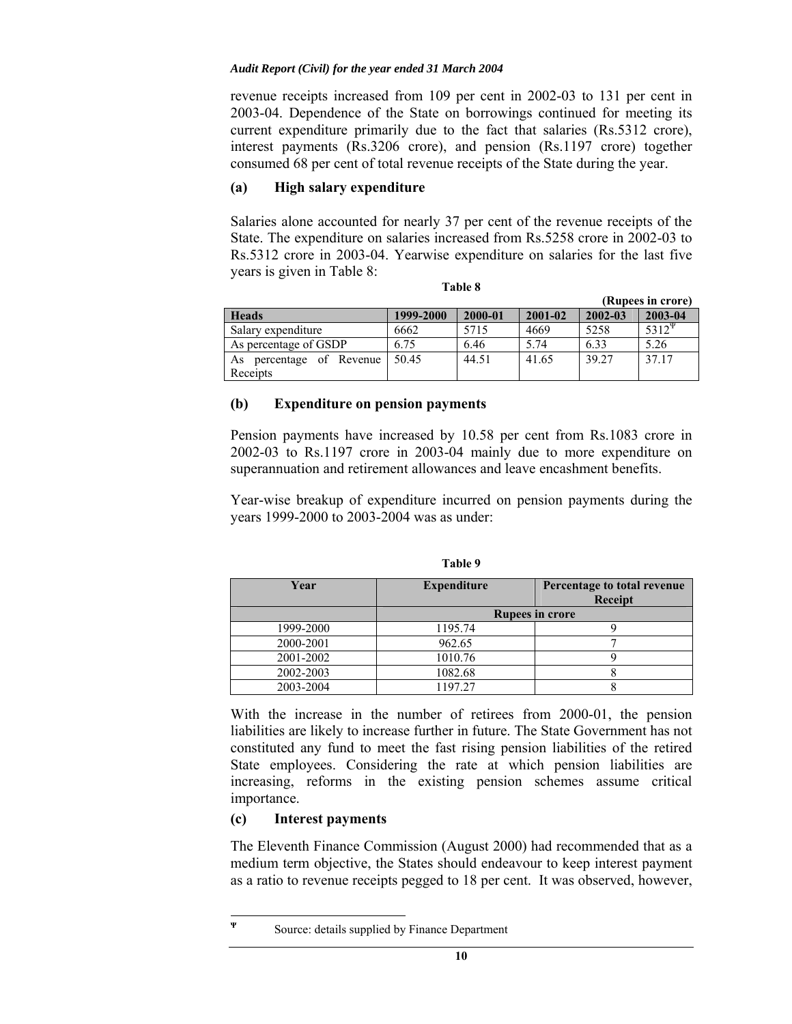revenue receipts increased from 109 per cent in 2002-03 to 131 per cent in 2003-04. Dependence of the State on borrowings continued for meeting its current expenditure primarily due to the fact that salaries (Rs.5312 crore), interest payments (Rs.3206 crore), and pension (Rs.1197 crore) together consumed 68 per cent of total revenue receipts of the State during the year.

## **(a) High salary expenditure**

Salaries alone accounted for nearly 37 per cent of the revenue receipts of the State. The expenditure on salaries increased from Rs.5258 crore in 2002-03 to Rs.5312 crore in 2003-04. Yearwise expenditure on salaries for the last five years is given in Table 8:

| .,<br>۰,<br>×<br>٠<br>٠ |  |
|-------------------------|--|
|-------------------------|--|

|                                         |           |         |             |             | (Rupees in crore)        |
|-----------------------------------------|-----------|---------|-------------|-------------|--------------------------|
| <b>Heads</b>                            | 1999-2000 | 2000-01 | $2001 - 02$ | $2002 - 03$ | 2003-04                  |
| Salary expenditure                      | 6662      | 5715    | 4669        | 5258        | $\overline{5312}^{\Psi}$ |
| As percentage of GSDP                   | 6.75      | 6.46    | 5.74        | 6.33        | 5.26                     |
| percentage of Revenue<br>As<br>Receipts | 50.45     | 44.51   | 41.65       | 39.27       | 37.17                    |

### **(b) Expenditure on pension payments**

Pension payments have increased by 10.58 per cent from Rs.1083 crore in 2002-03 to Rs.1197 crore in 2003-04 mainly due to more expenditure on superannuation and retirement allowances and leave encashment benefits.

Year-wise breakup of expenditure incurred on pension payments during the years 1999-2000 to 2003-2004 was as under:

| Year      | <b>Expenditure</b> | Percentage to total revenue<br><b>Receipt</b> |
|-----------|--------------------|-----------------------------------------------|
|           |                    | <b>Rupees in crore</b>                        |
| 1999-2000 | 1195.74            |                                               |
| 2000-2001 | 962.65             |                                               |
| 2001-2002 | 1010.76            |                                               |
| 2002-2003 | 1082.68            |                                               |
| 2003-2004 | 1197.27            |                                               |

**Table 9** 

With the increase in the number of retirees from 2000-01, the pension liabilities are likely to increase further in future. The State Government has not constituted any fund to meet the fast rising pension liabilities of the retired State employees. Considering the rate at which pension liabilities are increasing, reforms in the existing pension schemes assume critical importance.

## **(c) Interest payments**

Ψ

The Eleventh Finance Commission (August 2000) had recommended that as a medium term objective, the States should endeavour to keep interest payment as a ratio to revenue receipts pegged to 18 per cent. It was observed, however,

Source: details supplied by Finance Department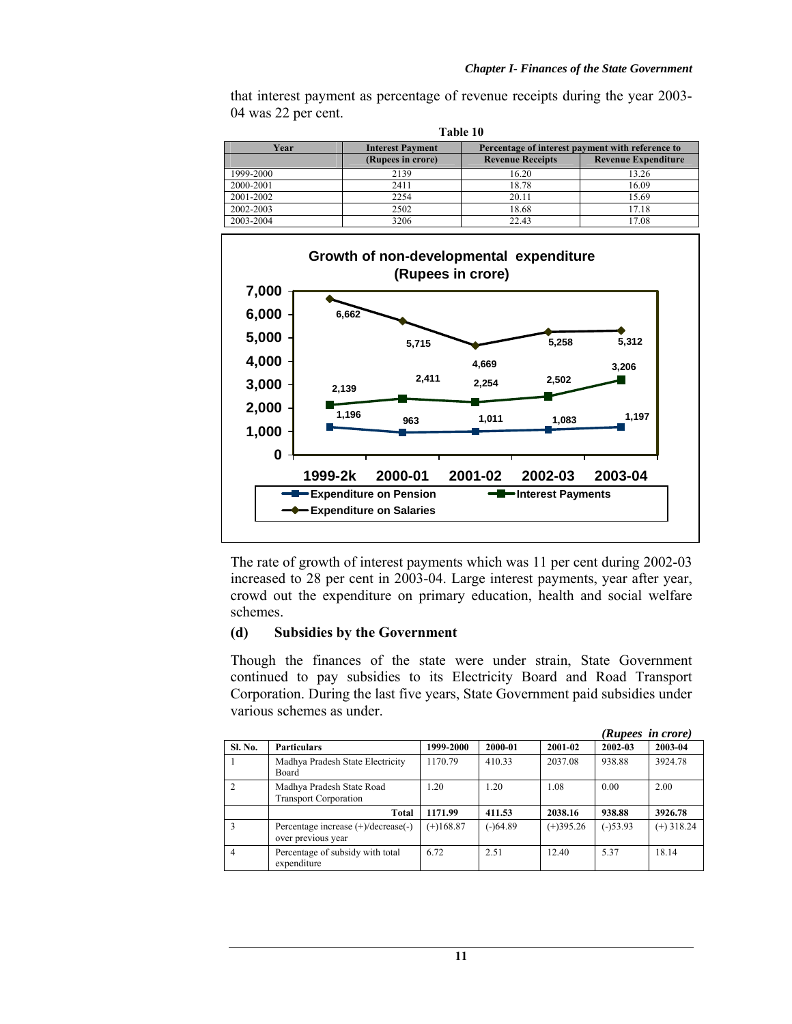that interest payment as percentage of revenue receipts during the year 2003- 04 was 22 per cent. **Table 10** 

| Table 10  |                                                                             |                         |                            |  |  |  |
|-----------|-----------------------------------------------------------------------------|-------------------------|----------------------------|--|--|--|
| Year      | Percentage of interest payment with reference to<br><b>Interest Payment</b> |                         |                            |  |  |  |
|           | (Rupees in crore)                                                           | <b>Revenue Receipts</b> | <b>Revenue Expenditure</b> |  |  |  |
| 1999-2000 | 2139                                                                        | 16.20                   | 13.26                      |  |  |  |
| 2000-2001 | 2411                                                                        | 18.78                   | 16.09                      |  |  |  |
| 2001-2002 | 2254                                                                        | 20.11                   | 15.69                      |  |  |  |
| 2002-2003 | 2502                                                                        | 18.68                   | 17.18                      |  |  |  |
| 2003-2004 | 3206                                                                        | 22.43                   | 17.08                      |  |  |  |



The rate of growth of interest payments which was 11 per cent during 2002-03 increased to 28 per cent in 2003-04. Large interest payments, year after year, crowd out the expenditure on primary education, health and social welfare schemes.

## **(d) Subsidies by the Government**

Though the finances of the state were under strain, State Government continued to pay subsidies to its Electricity Board and Road Transport Corporation. During the last five years, State Government paid subsidies under various schemes as under.

|               |                                                           |             |            |             | (Rupees in crore) |              |
|---------------|-----------------------------------------------------------|-------------|------------|-------------|-------------------|--------------|
| Sl. No.       | <b>Particulars</b>                                        | 1999-2000   | 2000-01    | 2001-02     | 2002-03           | 2003-04      |
|               | Madhya Pradesh State Electricity<br>Board                 | 1170.79     | 410.33     | 2037.08     | 938.88            | 3924.78      |
| $\mathcal{D}$ | Madhya Pradesh State Road<br><b>Transport Corporation</b> | 1.20        | 1.20       | 1.08        | 0.00              | 2.00         |
|               | Total                                                     | 1171.99     | 411.53     | 2038.16     | 938.88            | 3926.78      |
| 3             | Percentage increase (+)/decrease(-)<br>over previous year | $(+)168.87$ | $(-)64.89$ | $(+)395.26$ | $(-)53.93$        | $(+)$ 318.24 |
| 4             | Percentage of subsidy with total<br>expenditure           | 6.72        | 2.51       | 12.40       | 5.37              | 18.14        |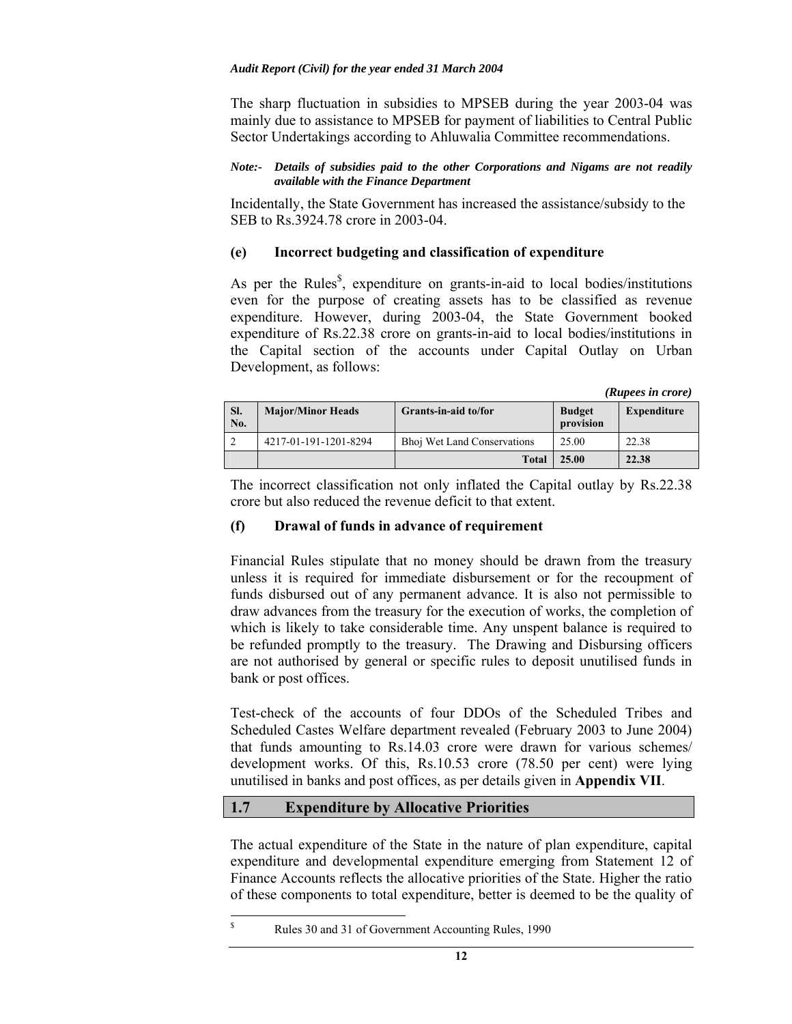The sharp fluctuation in subsidies to MPSEB during the year 2003-04 was mainly due to assistance to MPSEB for payment of liabilities to Central Public Sector Undertakings according to Ahluwalia Committee recommendations.

### *Note:- Details of subsidies paid to the other Corporations and Nigams are not readily available with the Finance Department*

Incidentally, the State Government has increased the assistance/subsidy to the SEB to Rs.3924.78 crore in 2003-04.

### **(e) Incorrect budgeting and classification of expenditure**

As per the Rules<sup>§</sup>, expenditure on grants-in-aid to local bodies/institutions even for the purpose of creating assets has to be classified as revenue expenditure. However, during 2003-04, the State Government booked expenditure of Rs.22.38 crore on grants-in-aid to local bodies/institutions in the Capital section of the accounts under Capital Outlay on Urban Development, as follows:

*(Rupees in crore)* 

| SI.<br>No. | <b>Major/Minor Heads</b> | Grants-in-aid to/for               | <b>Budget</b><br>provision | Expenditure |
|------------|--------------------------|------------------------------------|----------------------------|-------------|
|            | 4217-01-191-1201-8294    | <b>Bhoj Wet Land Conservations</b> | 25.00                      | 22.38       |
|            |                          | Total                              | 25.00                      | 22.38       |

The incorrect classification not only inflated the Capital outlay by Rs.22.38 crore but also reduced the revenue deficit to that extent.

## **(f) Drawal of funds in advance of requirement**

Financial Rules stipulate that no money should be drawn from the treasury unless it is required for immediate disbursement or for the recoupment of funds disbursed out of any permanent advance. It is also not permissible to draw advances from the treasury for the execution of works, the completion of which is likely to take considerable time. Any unspent balance is required to be refunded promptly to the treasury. The Drawing and Disbursing officers are not authorised by general or specific rules to deposit unutilised funds in bank or post offices.

Test-check of the accounts of four DDOs of the Scheduled Tribes and Scheduled Castes Welfare department revealed (February 2003 to June 2004) that funds amounting to Rs.14.03 crore were drawn for various schemes/ development works. Of this, Rs.10.53 crore (78.50 per cent) were lying unutilised in banks and post offices, as per details given in **Appendix VII**.

## **1.7 Expenditure by Allocative Priorities**

The actual expenditure of the State in the nature of plan expenditure, capital expenditure and developmental expenditure emerging from Statement 12 of Finance Accounts reflects the allocative priorities of the State. Higher the ratio of these components to total expenditure, better is deemed to be the quality of

 $\overline{\overline{s}}$ Rules 30 and 31 of Government Accounting Rules, 1990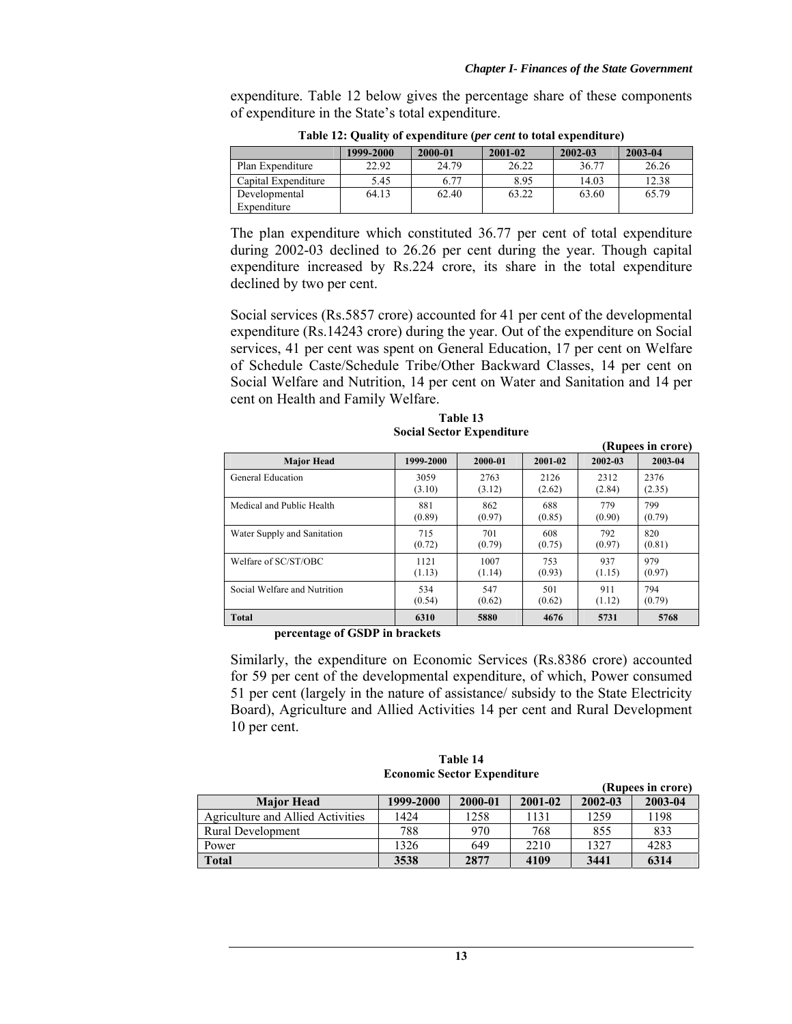expenditure. Table 12 below gives the percentage share of these components of expenditure in the State's total expenditure.

|                              | 1999-2000 | 2000-01 | 2001-02 | 2002-03 | 2003-04 |
|------------------------------|-----------|---------|---------|---------|---------|
| Plan Expenditure             | 22.92     | 24.79   | 26.22   | 36.77   | 26.26   |
| Capital Expenditure          | 5.45      | 6.77    | 8.95    | 14.03   | 12.38   |
| Developmental<br>Expenditure | 64.13     | 62.40   | 63.22   | 63.60   | 65.79   |

**Table 12: Quality of expenditure (***per cent* **to total expenditure)** 

The plan expenditure which constituted 36.77 per cent of total expenditure during 2002-03 declined to 26.26 per cent during the year. Though capital expenditure increased by Rs.224 crore, its share in the total expenditure declined by two per cent.

Social services (Rs.5857 crore) accounted for 41 per cent of the developmental expenditure (Rs.14243 crore) during the year. Out of the expenditure on Social services, 41 per cent was spent on General Education, 17 per cent on Welfare of Schedule Caste/Schedule Tribe/Other Backward Classes, 14 per cent on Social Welfare and Nutrition, 14 per cent on Water and Sanitation and 14 per cent on Health and Family Welfare.

| Table 13 |                                  |
|----------|----------------------------------|
|          | <b>Social Sector Expenditure</b> |

|                              |           |         |         |         | (Rupees in crore) |
|------------------------------|-----------|---------|---------|---------|-------------------|
| <b>Major Head</b>            | 1999-2000 | 2000-01 | 2001-02 | 2002-03 | 2003-04           |
| General Education            | 3059      | 2763    | 2126    | 2312    | 2376              |
|                              | (3.10)    | (3.12)  | (2.62)  | (2.84)  | (2.35)            |
| Medical and Public Health    | 881       | 862     | 688     | 779     | 799               |
|                              | (0.89)    | (0.97)  | (0.85)  | (0.90)  | (0.79)            |
| Water Supply and Sanitation  | 715       | 701     | 608     | 792     | 820               |
|                              | (0.72)    | (0.79)  | (0.75)  | (0.97)  | (0.81)            |
| Welfare of SC/ST/OBC         | 1121      | 1007    | 753     | 937     | 979               |
|                              | (1.13)    | (1.14)  | (0.93)  | (1.15)  | (0.97)            |
| Social Welfare and Nutrition | 534       | 547     | 501     | 911     | 794               |
|                              | (0.54)    | (0.62)  | (0.62)  | (1.12)  | (0.79)            |
| <b>Total</b>                 | 6310      | 5880    | 4676    | 5731    | 5768              |

 **percentage of GSDP in brackets** 

Similarly, the expenditure on Economic Services (Rs.8386 crore) accounted for 59 per cent of the developmental expenditure, of which, Power consumed 51 per cent (largely in the nature of assistance/ subsidy to the State Electricity Board), Agriculture and Allied Activities 14 per cent and Rural Development 10 per cent.

| Table 14 |                                    |
|----------|------------------------------------|
|          | <b>Economic Sector Expenditure</b> |

|                                   |           |         |         |         | (Rupees in crore) |
|-----------------------------------|-----------|---------|---------|---------|-------------------|
| <b>Major Head</b>                 | 1999-2000 | 2000-01 | 2001-02 | 2002-03 | 2003-04           |
| Agriculture and Allied Activities | 1424      | 1258    | 1131    | 1259    | 1198              |
| Rural Development                 | 788       | 970     | 768     | 855     | 833               |
| Power                             | 1326      | 649     | 2210    | 1327    | 4283              |
| Total                             | 3538      | 2877    | 4109    | 3441    | 6314              |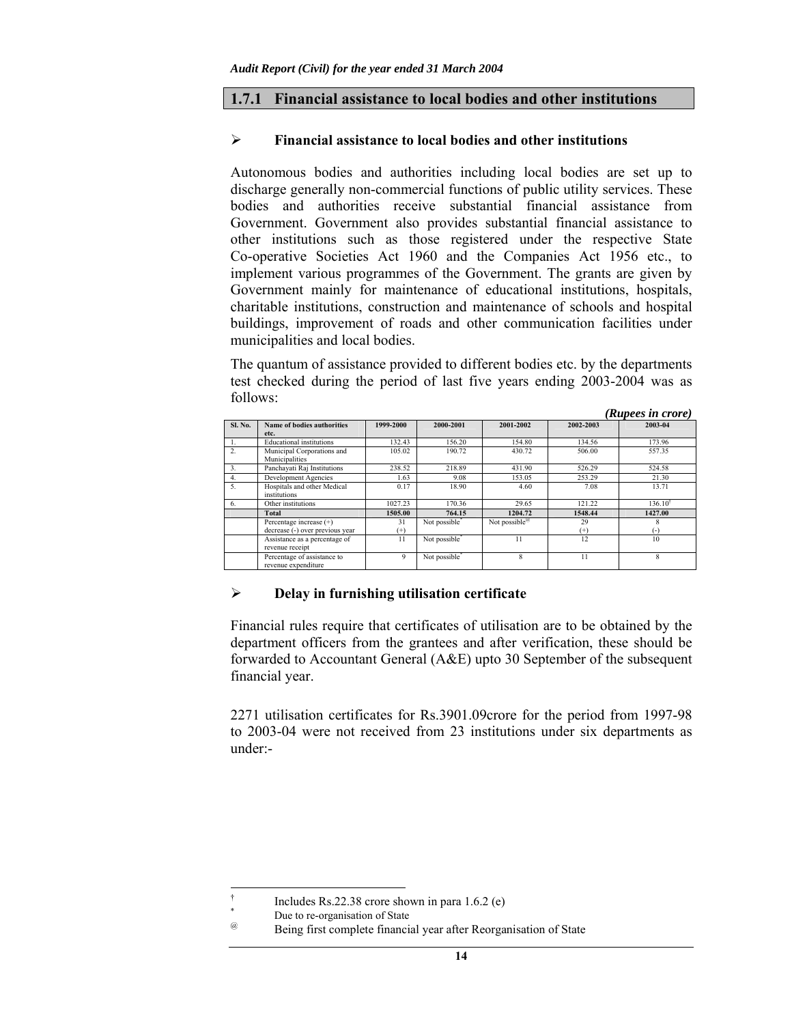### **1.7.1 Financial assistance to local bodies and other institutions**

#### ¾ **Financial assistance to local bodies and other institutions**

Autonomous bodies and authorities including local bodies are set up to discharge generally non-commercial functions of public utility services. These bodies and authorities receive substantial financial assistance from Government. Government also provides substantial financial assistance to other institutions such as those registered under the respective State Co-operative Societies Act 1960 and the Companies Act 1956 etc., to implement various programmes of the Government. The grants are given by Government mainly for maintenance of educational institutions, hospitals, charitable institutions, construction and maintenance of schools and hospital buildings, improvement of roads and other communication facilities under municipalities and local bodies.

The quantum of assistance provided to different bodies etc. by the departments test checked during the period of last five years ending 2003-2004 was as follows: *(Rupees in crore)* 

|                  |                                   |           |                           |                           |           | <b>Rupees in crore</b> )  |
|------------------|-----------------------------------|-----------|---------------------------|---------------------------|-----------|---------------------------|
| Sl. No.          | <b>Name of bodies authorities</b> | 1999-2000 | 2000-2001                 | 2001-2002                 | 2002-2003 | 2003-04                   |
|                  | etc.                              |           |                           |                           |           |                           |
|                  | <b>Educational</b> institutions   | 132.43    | 156.20                    | 154.80                    | 134.56    | 173.96                    |
| $\overline{2}$ . | Municipal Corporations and        | 105.02    | 190.72                    | 430.72                    | 506.00    | 557.35                    |
|                  | Municipalities                    |           |                           |                           |           |                           |
| 3.               | Panchayati Raj Institutions       | 238.52    | 218.89                    | 431.90                    | 526.29    | 524.58                    |
|                  | Development Agencies              | 1.63      | 9.08                      | 153.05                    | 253.29    | 21.30                     |
| 5.               | Hospitals and other Medical       | 0.17      | 18.90                     | 4.60                      | 7.08      | 13.71                     |
|                  | institutions                      |           |                           |                           |           |                           |
| 6.               | Other institutions                | 1027.23   | 170.36                    | 29.65                     | 121.22    | $136.10^{+}$              |
|                  | Total                             | 1505.00   | 764.15                    | 1204.72                   | 1548.44   | 1427.00                   |
|                  | Percentage increase (+)           | 31        | Not possible <sup>®</sup> | Not possible <sup>@</sup> | 29        |                           |
|                  | decrease (-) over previous year   | $^{(+)}$  |                           |                           | $^{(+)}$  | ( –                       |
|                  | Assistance as a percentage of     | 11        | Not possible <sup>*</sup> |                           | 12        | 10                        |
|                  | revenue receipt                   |           |                           |                           |           |                           |
|                  | Percentage of assistance to       | 9         | Not possible <sup>*</sup> |                           | 11        | $\boldsymbol{\mathsf{R}}$ |
|                  | revenue expenditure               |           |                           |                           |           |                           |

### ¾ **Delay in furnishing utilisation certificate**

Financial rules require that certificates of utilisation are to be obtained by the department officers from the grantees and after verification, these should be forwarded to Accountant General (A&E) upto 30 September of the subsequent financial year.

2271 utilisation certificates for Rs.3901.09crore for the period from 1997-98 to 2003-04 were not received from 23 institutions under six departments as under:-

 $\overline{a}$ 

<sup>†</sup> Includes Rs.22.38 crore shown in para 1.6.2 (e)

<sup>\*</sup>  $\frac{a}{a}$  Due to re-organisation of State<br>Reing first complete financial

Being first complete financial year after Reorganisation of State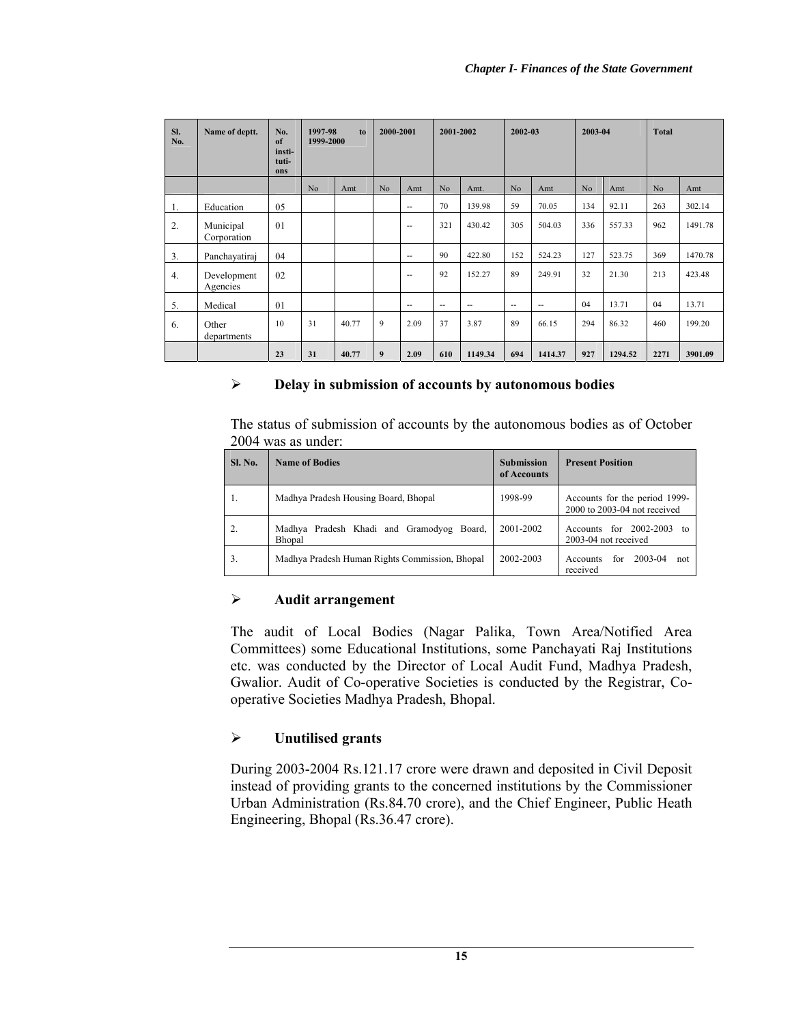| Sl.<br>No.       | Name of deptt.           | No.<br>of<br>insti-<br>tuti-<br>ons | 1997-98<br>1999-2000 | to    | 2000-2001      |               | 2001-2002      |                | 2002-03 |         | 2003-04        |         | <b>Total</b>   |         |
|------------------|--------------------------|-------------------------------------|----------------------|-------|----------------|---------------|----------------|----------------|---------|---------|----------------|---------|----------------|---------|
|                  |                          |                                     | N <sub>o</sub>       | Amt   | N <sub>o</sub> | Amt           | N <sub>o</sub> | Amt.           | No      | Amt     | N <sub>o</sub> | Amt     | N <sub>o</sub> | Amt     |
| 1.               | Education                | 05                                  |                      |       |                | $\sim$ $-$    | 70             | 139.98         | 59      | 70.05   | 134            | 92.11   | 263            | 302.14  |
| 2.               | Municipal<br>Corporation | 01                                  |                      |       |                | $\sim$ $\sim$ | 321            | 430.42         | 305     | 504.03  | 336            | 557.33  | 962            | 1491.78 |
| 3.               | Panchayatiraj            | 04                                  |                      |       |                | $\sim$ $-$    | 90             | 422.80         | 152     | 524.23  | 127            | 523.75  | 369            | 1470.78 |
| $\overline{4}$ . | Development<br>Agencies  | 02                                  |                      |       |                | $\sim$ $\sim$ | 92             | 152.27         | 89      | 249.91  | 32             | 21.30   | 213            | 423.48  |
| 5.               | Medical                  | 01                                  |                      |       |                | $\sim$ $\sim$ | $\sim$         | $\overline{a}$ | --      | ۰.      | 04             | 13.71   | 04             | 13.71   |
| 6.               | Other<br>departments     | 10                                  | 31                   | 40.77 | 9              | 2.09          | 37             | 3.87           | 89      | 66.15   | 294            | 86.32   | 460            | 199.20  |
|                  |                          | 23                                  | 31                   | 40.77 | 9              | 2.09          | 610            | 1149.34        | 694     | 1414.37 | 927            | 1294.52 | 2271           | 3901.09 |

## ¾ **Delay in submission of accounts by autonomous bodies**

The status of submission of accounts by the autonomous bodies as of October 2004 was as under:

| <b>Sl. No.</b> | <b>Name of Bodies</b>                               | <b>Submission</b><br>of Accounts | <b>Present Position</b>                                       |
|----------------|-----------------------------------------------------|----------------------------------|---------------------------------------------------------------|
| 1.             | Madhya Pradesh Housing Board, Bhopal                | 1998-99                          | Accounts for the period 1999-<br>2000 to 2003-04 not received |
| 2.             | Madhya Pradesh Khadi and Gramodyog Board,<br>Bhopal | 2001-2002                        | Accounts for 2002-2003<br>tΩ<br>2003-04 not received          |
| 3.             | Madhya Pradesh Human Rights Commission, Bhopal      | 2002-2003                        | 2003-04<br>for<br>Accounts<br>not<br>received                 |

# ¾ **Audit arrangement**

The audit of Local Bodies (Nagar Palika, Town Area/Notified Area Committees) some Educational Institutions, some Panchayati Raj Institutions etc. was conducted by the Director of Local Audit Fund, Madhya Pradesh, Gwalior. Audit of Co-operative Societies is conducted by the Registrar, Cooperative Societies Madhya Pradesh, Bhopal.

# ¾ **Unutilised grants**

During 2003-2004 Rs.121.17 crore were drawn and deposited in Civil Deposit instead of providing grants to the concerned institutions by the Commissioner Urban Administration (Rs.84.70 crore), and the Chief Engineer, Public Heath Engineering, Bhopal (Rs.36.47 crore).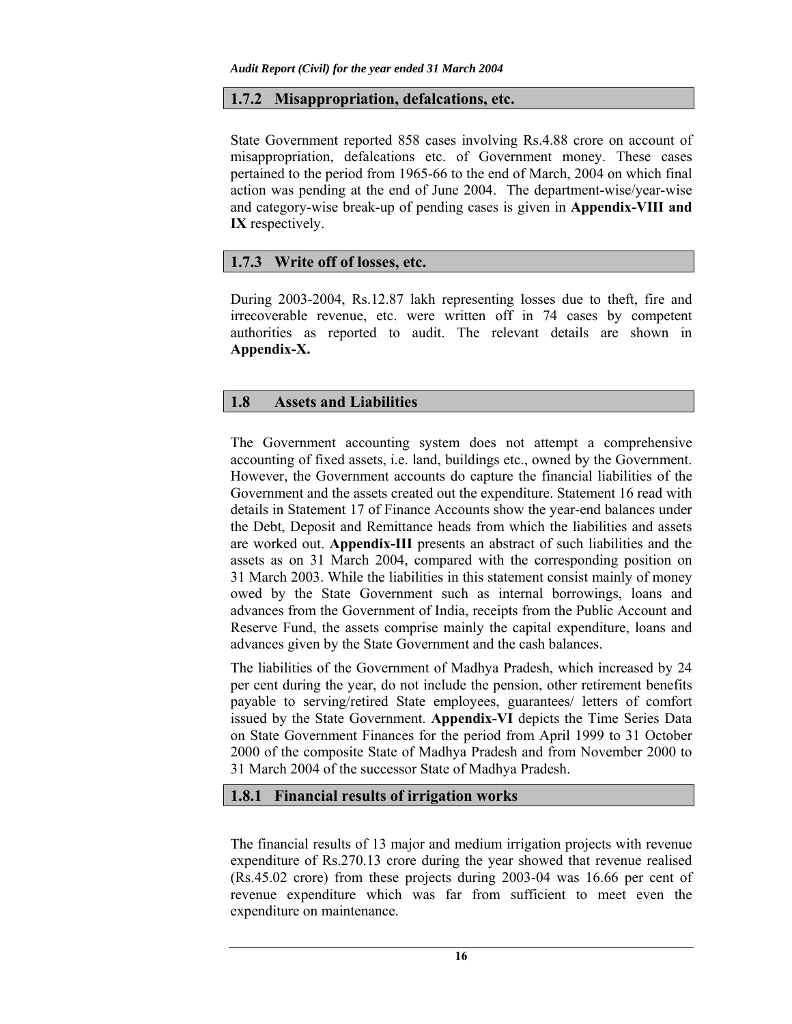# **1.7.2 Misappropriation, defalcations, etc.**

State Government reported 858 cases involving Rs.4.88 crore on account of misappropriation, defalcations etc. of Government money. These cases pertained to the period from 1965-66 to the end of March, 2004 on which final action was pending at the end of June 2004. The department-wise/year-wise and category-wise break-up of pending cases is given in **Appendix-VIII and IX** respectively.

# **1.7.3 Write off of losses, etc.**

During 2003-2004, Rs.12.87 lakh representing losses due to theft, fire and irrecoverable revenue, etc. were written off in 74 cases by competent authorities as reported to audit. The relevant details are shown in **Appendix-X.**

# **1.8 Assets and Liabilities**

The Government accounting system does not attempt a comprehensive accounting of fixed assets, i.e. land, buildings etc., owned by the Government. However, the Government accounts do capture the financial liabilities of the Government and the assets created out the expenditure. Statement 16 read with details in Statement 17 of Finance Accounts show the year-end balances under the Debt, Deposit and Remittance heads from which the liabilities and assets are worked out. **Appendix-III** presents an abstract of such liabilities and the assets as on 31 March 2004, compared with the corresponding position on 31 March 2003. While the liabilities in this statement consist mainly of money owed by the State Government such as internal borrowings, loans and advances from the Government of India, receipts from the Public Account and Reserve Fund, the assets comprise mainly the capital expenditure, loans and advances given by the State Government and the cash balances.

The liabilities of the Government of Madhya Pradesh, which increased by 24 per cent during the year, do not include the pension, other retirement benefits payable to serving/retired State employees, guarantees/ letters of comfort issued by the State Government. **Appendix-VI** depicts the Time Series Data on State Government Finances for the period from April 1999 to 31 October 2000 of the composite State of Madhya Pradesh and from November 2000 to 31 March 2004 of the successor State of Madhya Pradesh.

## **1.8.1 Financial results of irrigation works**

The financial results of 13 major and medium irrigation projects with revenue expenditure of Rs.270.13 crore during the year showed that revenue realised (Rs.45.02 crore) from these projects during 2003-04 was 16.66 per cent of revenue expenditure which was far from sufficient to meet even the expenditure on maintenance.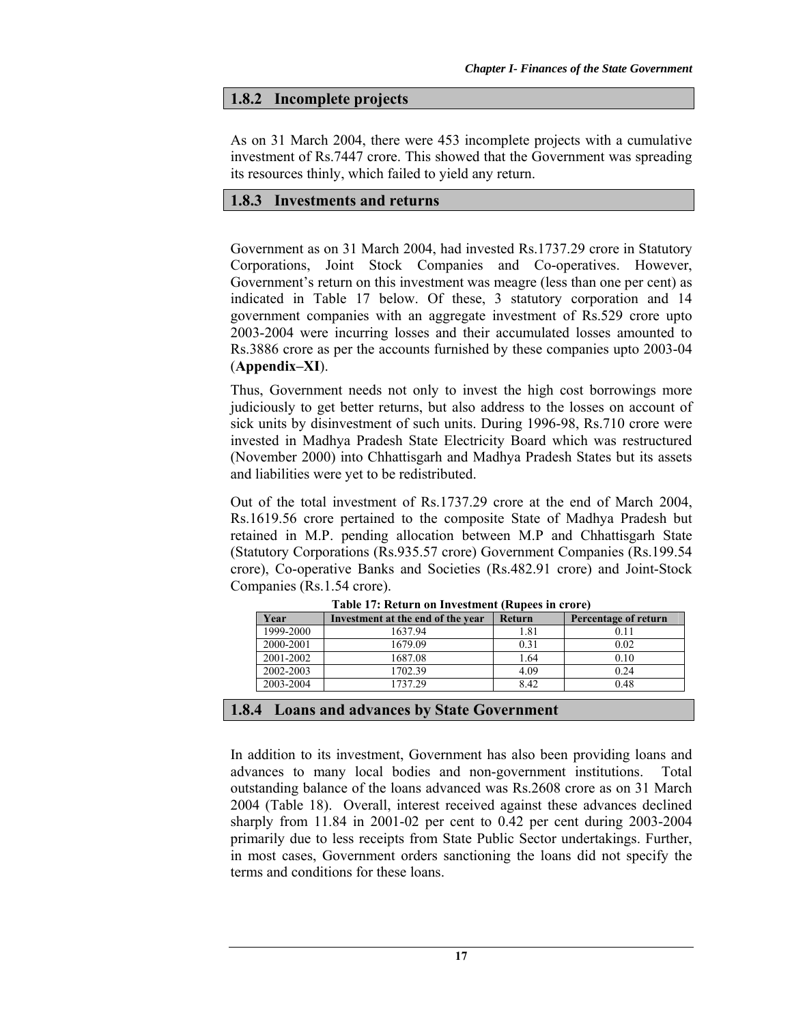### **1.8.2 Incomplete projects**

As on 31 March 2004, there were 453 incomplete projects with a cumulative investment of Rs.7447 crore. This showed that the Government was spreading its resources thinly, which failed to yield any return.

### **1.8.3 Investments and returns**

Government as on 31 March 2004, had invested Rs.1737.29 crore in Statutory Corporations, Joint Stock Companies and Co-operatives. However, Government's return on this investment was meagre (less than one per cent) as indicated in Table 17 below. Of these, 3 statutory corporation and 14 government companies with an aggregate investment of Rs.529 crore upto 2003-2004 were incurring losses and their accumulated losses amounted to Rs.3886 crore as per the accounts furnished by these companies upto 2003-04 (**Appendix–XI**).

Thus, Government needs not only to invest the high cost borrowings more judiciously to get better returns, but also address to the losses on account of sick units by disinvestment of such units. During 1996-98, Rs.710 crore were invested in Madhya Pradesh State Electricity Board which was restructured (November 2000) into Chhattisgarh and Madhya Pradesh States but its assets and liabilities were yet to be redistributed.

Out of the total investment of Rs.1737.29 crore at the end of March 2004, Rs.1619.56 crore pertained to the composite State of Madhya Pradesh but retained in M.P. pending allocation between M.P and Chhattisgarh State (Statutory Corporations (Rs.935.57 crore) Government Companies (Rs.199.54 crore), Co-operative Banks and Societies (Rs.482.91 crore) and Joint-Stock Companies (Rs.1.54 crore).

| Tuble 17, Retaille on Investment (Rupees in Croic, |                                   |               |                      |  |  |  |  |
|----------------------------------------------------|-----------------------------------|---------------|----------------------|--|--|--|--|
| Year                                               | Investment at the end of the year | <b>Return</b> | Percentage of return |  |  |  |  |
| 1999-2000                                          | 1637.94                           | 1.81          | 0.11                 |  |  |  |  |
| 2000-2001                                          | 1679.09                           | 0.31          | 0.02                 |  |  |  |  |
| 2001-2002                                          | 1687.08                           | 1.64          | 0.10                 |  |  |  |  |
| 2002-2003                                          | 1702.39                           | 4.09          | 0.24                 |  |  |  |  |
| 2003-2004                                          | 1737 29                           | 8.42          | 0.48                 |  |  |  |  |
|                                                    |                                   |               |                      |  |  |  |  |

**Table 17: Return on Investment (Rupees in crore)** 

### **1.8.4 Loans and advances by State Government**

In addition to its investment, Government has also been providing loans and advances to many local bodies and non-government institutions. Total outstanding balance of the loans advanced was Rs.2608 crore as on 31 March 2004 (Table 18). Overall, interest received against these advances declined sharply from 11.84 in 2001-02 per cent to 0.42 per cent during 2003-2004 primarily due to less receipts from State Public Sector undertakings. Further, in most cases, Government orders sanctioning the loans did not specify the terms and conditions for these loans.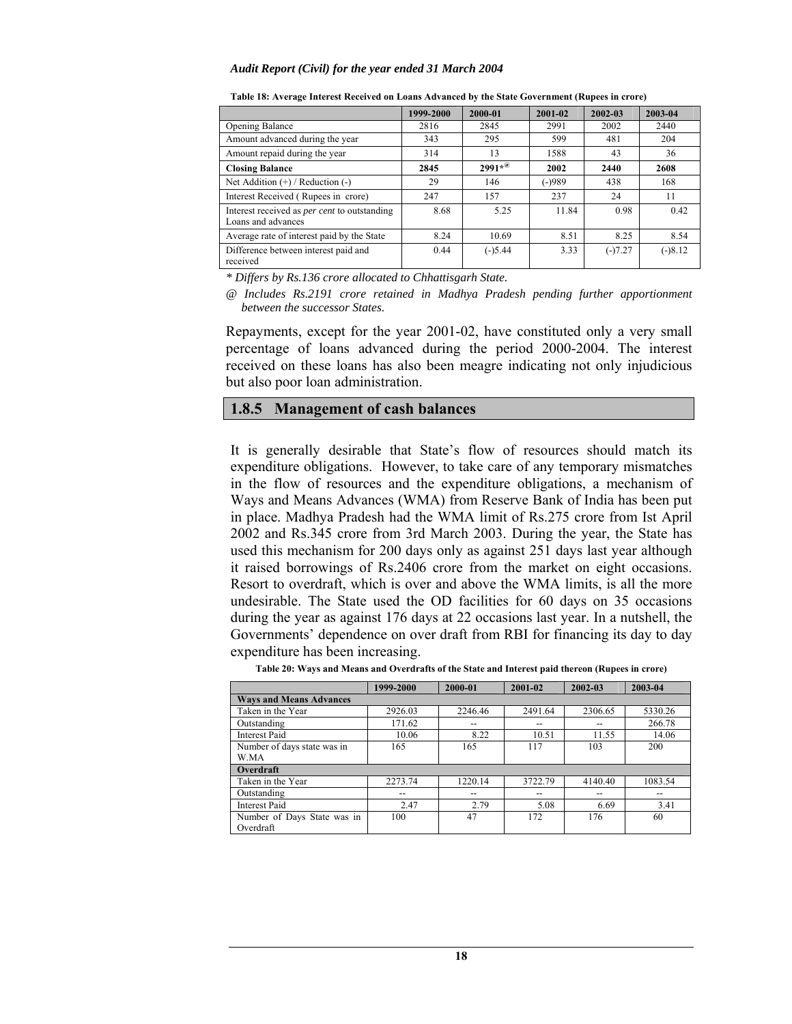|                                                                           | 1999-2000 | 2000-01                     | 2001-02 | 2002-03   | 2003-04   |
|---------------------------------------------------------------------------|-----------|-----------------------------|---------|-----------|-----------|
| <b>Opening Balance</b>                                                    | 2816      | 2845                        | 2991    | 2002      | 2440      |
| Amount advanced during the year                                           | 343       | 295                         | 599     | 481       | 204       |
| Amount repaid during the year                                             | 314       | 13                          | 1588    | 43        | 36        |
| <b>Closing Balance</b>                                                    | 2845      | $2991*$ <sup><i>®</i></sup> | 2002    | 2440      | 2608      |
| Net Addition $(+)$ / Reduction $(-)$                                      | 29        | 146                         | (-)989  | 438       | 168       |
| Interest Received (Rupees in crore)                                       | 247       | 157                         | 237     | 24        | 11        |
| Interest received as <i>per cent</i> to outstanding<br>Loans and advances | 8.68      | 5.25                        | 11.84   | 0.98      | 0.42      |
| Average rate of interest paid by the State                                | 8.24      | 10.69                       | 8.51    | 8.25      | 8.54      |
| Difference between interest paid and<br>received                          | 0.44      | $(-)5.44$                   | 3.33    | $(-)7.27$ | $(-)8.12$ |

**Table 18: Average Interest Received on Loans Advanced by the State Government (Rupees in crore)** 

*\* Differs by Rs.136 crore allocated to Chhattisgarh State.* 

*@ Includes Rs.2191 crore retained in Madhya Pradesh pending further apportionment between the successor States.* 

Repayments, except for the year 2001-02, have constituted only a very small percentage of loans advanced during the period 2000-2004. The interest received on these loans has also been meagre indicating not only injudicious but also poor loan administration.

### **1.8.5 Management of cash balances**

It is generally desirable that State's flow of resources should match its expenditure obligations. However, to take care of any temporary mismatches in the flow of resources and the expenditure obligations, a mechanism of Ways and Means Advances (WMA) from Reserve Bank of India has been put in place. Madhya Pradesh had the WMA limit of Rs.275 crore from Ist April 2002 and Rs.345 crore from 3rd March 2003. During the year, the State has used this mechanism for 200 days only as against 251 days last year although it raised borrowings of Rs.2406 crore from the market on eight occasions. Resort to overdraft, which is over and above the WMA limits, is all the more undesirable. The State used the OD facilities for 60 days on 35 occasions during the year as against 176 days at 22 occasions last year. In a nutshell, the Governments' dependence on over draft from RBI for financing its day to day expenditure has been increasing.

|                                            | 1999-2000 | 2000-01 | 2001-02 | 2002-03 | 2003-04 |
|--------------------------------------------|-----------|---------|---------|---------|---------|
| <b>Ways and Means Advances</b>             |           |         |         |         |         |
| Taken in the Year                          | 2926.03   | 2246.46 | 2491.64 | 2306.65 | 5330.26 |
| Outstanding                                | 171.62    |         | --      |         | 266.78  |
| <b>Interest Paid</b>                       | 10.06     | 8.22    | 10.51   | 11.55   | 14.06   |
| Number of days state was in<br><b>W.MA</b> | 165       | 165     | 117     | 103     | 200     |
| Overdraft                                  |           |         |         |         |         |
| Taken in the Year                          | 2273.74   | 1220.14 | 3722.79 | 4140.40 | 1083.54 |
| Outstanding                                | --        |         | --      |         |         |
| <b>Interest Paid</b>                       | 2.47      | 2.79    | 5.08    | 6.69    | 3.41    |
| Number of Days State was in<br>Overdraft   | 100       | 47      | 172     | 176     | 60      |

**Table 20: Ways and Means and Overdrafts of the State and Interest paid thereon (Rupees in crore)**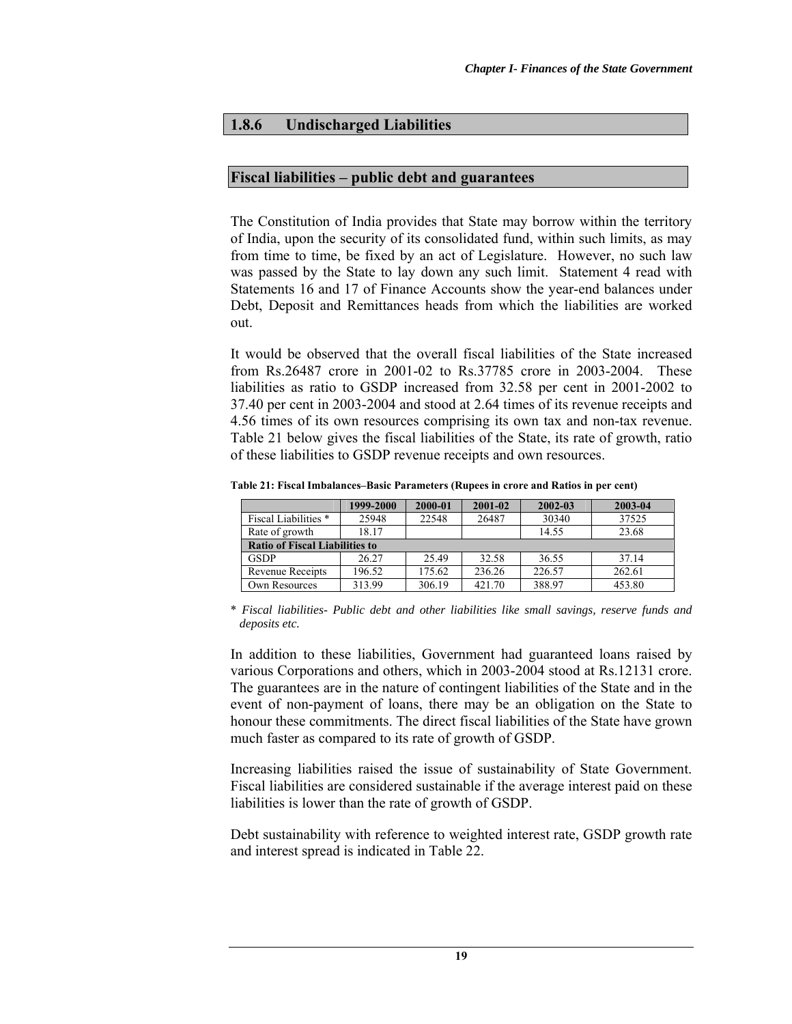# **1.8.6 Undischarged Liabilities**

### **Fiscal liabilities – public debt and guarantees**

The Constitution of India provides that State may borrow within the territory of India, upon the security of its consolidated fund, within such limits, as may from time to time, be fixed by an act of Legislature. However, no such law was passed by the State to lay down any such limit. Statement 4 read with Statements 16 and 17 of Finance Accounts show the year-end balances under Debt, Deposit and Remittances heads from which the liabilities are worked out.

It would be observed that the overall fiscal liabilities of the State increased from Rs.26487 crore in 2001-02 to Rs.37785 crore in 2003-2004. These liabilities as ratio to GSDP increased from 32.58 per cent in 2001-2002 to 37.40 per cent in 2003-2004 and stood at 2.64 times of its revenue receipts and 4.56 times of its own resources comprising its own tax and non-tax revenue. Table 21 below gives the fiscal liabilities of the State, its rate of growth, ratio of these liabilities to GSDP revenue receipts and own resources.

|                                       | 1999-2000 | 2000-01 | 2001-02 | 2002-03 | 2003-04 |
|---------------------------------------|-----------|---------|---------|---------|---------|
| Fiscal Liabilities *                  | 25948     | 22548   | 26487   | 30340   | 37525   |
| Rate of growth                        | 18.17     |         |         | 14.55   | 23.68   |
| <b>Ratio of Fiscal Liabilities to</b> |           |         |         |         |         |
| <b>GSDP</b>                           | 26.27     | 25.49   | 32.58   | 36.55   | 37.14   |
| Revenue Receipts                      | 196.52    | 175.62  | 236.26  | 226.57  | 262.61  |
| Own Resources                         | 313.99    | 306.19  | 421.70  | 388.97  | 453.80  |

**Table 21: Fiscal Imbalances–Basic Parameters (Rupees in crore and Ratios in per cent)**

\* *Fiscal liabilities- Public debt and other liabilities like small savings, reserve funds and deposits etc.*

In addition to these liabilities, Government had guaranteed loans raised by various Corporations and others, which in 2003-2004 stood at Rs.12131 crore. The guarantees are in the nature of contingent liabilities of the State and in the event of non-payment of loans, there may be an obligation on the State to honour these commitments. The direct fiscal liabilities of the State have grown much faster as compared to its rate of growth of GSDP.

Increasing liabilities raised the issue of sustainability of State Government. Fiscal liabilities are considered sustainable if the average interest paid on these liabilities is lower than the rate of growth of GSDP.

Debt sustainability with reference to weighted interest rate, GSDP growth rate and interest spread is indicated in Table 22.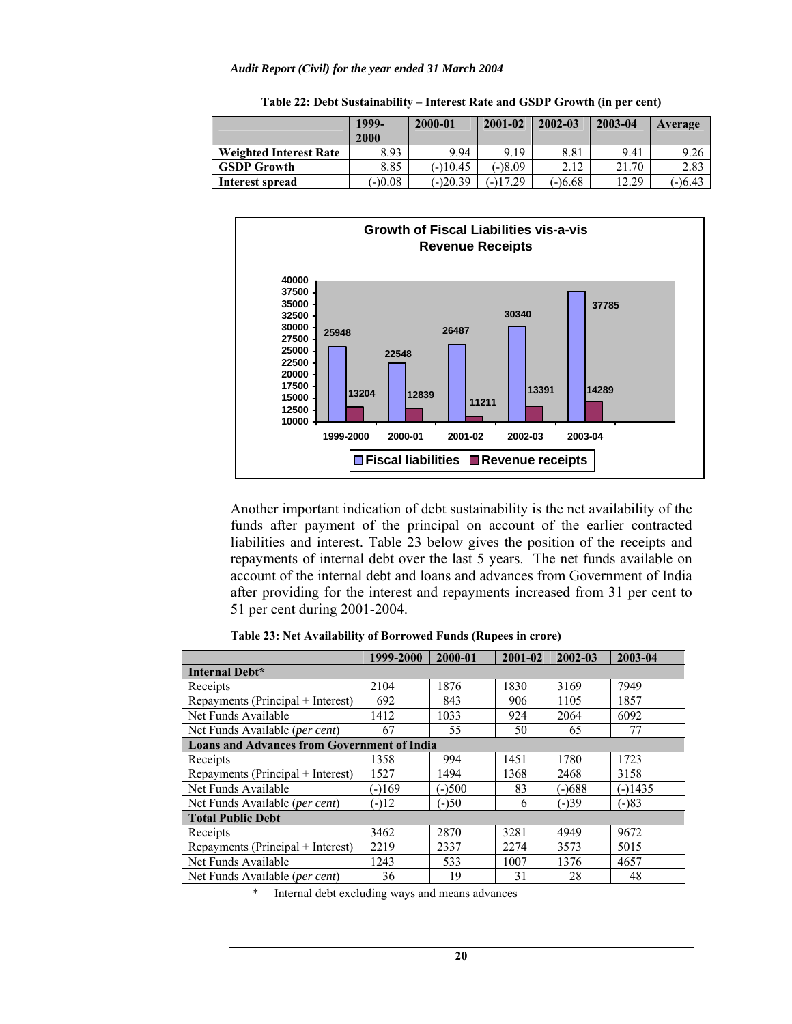|                               | 1999-<br>2000 | 2000-01    | $2001 - 02$ | 2002-03   | 2003-04 | Average |
|-------------------------------|---------------|------------|-------------|-----------|---------|---------|
| <b>Weighted Interest Rate</b> | 8.93          | 9.94       | 9.19        | 8.81      | 9.41    | 9.26    |
| <b>GSDP Growth</b>            | 8.85          | $(-110.45$ | $-18.09$    | 2.12      | 21.70   | 2.83    |
| Interest spread               | $(-)0.08$     | $(-)20.39$ | $-117.29$   | $(-)6.68$ | 12.29   | (-)6.43 |

**Table 22: Debt Sustainability – Interest Rate and GSDP Growth (in per cent)**



Another important indication of debt sustainability is the net availability of the funds after payment of the principal on account of the earlier contracted liabilities and interest. Table 23 below gives the position of the receipts and repayments of internal debt over the last 5 years. The net funds available on account of the internal debt and loans and advances from Government of India after providing for the interest and repayments increased from 31 per cent to 51 per cent during 2001-2004.

| Table 23: Net Availability of Borrowed Funds (Rupees in crore) |  |  |
|----------------------------------------------------------------|--|--|
|----------------------------------------------------------------|--|--|

|                                                    | 1999-2000 | 2000-01  | 2001-02 | 2002-03  | 2003-04   |  |  |  |  |
|----------------------------------------------------|-----------|----------|---------|----------|-----------|--|--|--|--|
| <b>Internal Debt*</b>                              |           |          |         |          |           |  |  |  |  |
| Receipts                                           | 2104      | 1876     | 1830    | 3169     | 7949      |  |  |  |  |
| Repayments (Principal + Interest)                  | 692       | 843      | 906     | 1105     | 1857      |  |  |  |  |
| Net Funds Available                                | 1412      | 1033     | 924     | 2064     | 6092      |  |  |  |  |
| Net Funds Available (per cent)                     | 67        | 55       | 50      | 65       | 77        |  |  |  |  |
| <b>Loans and Advances from Government of India</b> |           |          |         |          |           |  |  |  |  |
| Receipts                                           | 1358      | 994      | 1451    | 1780     | 1723      |  |  |  |  |
| Repayments (Principal + Interest)                  | 1527      | 1494     | 1368    | 2468     | 3158      |  |  |  |  |
| Net Funds Available                                | $(-169)$  | $(-)500$ | 83      | $(-)688$ | $(-)1435$ |  |  |  |  |
| Net Funds Available (per cent)                     | $(-)12$   | $(-)50$  | 6       | $(-)39$  | $(-)83$   |  |  |  |  |
| <b>Total Public Debt</b>                           |           |          |         |          |           |  |  |  |  |
| Receipts                                           | 3462      | 2870     | 3281    | 4949     | 9672      |  |  |  |  |
| Repayments (Principal + Interest)                  | 2219      | 2337     | 2274    | 3573     | 5015      |  |  |  |  |
| Net Funds Available                                | 1243      | 533      | 1007    | 1376     | 4657      |  |  |  |  |
| Net Funds Available (per cent)                     | 36        | 19       | 31      | 28       | 48        |  |  |  |  |

\* Internal debt excluding ways and means advances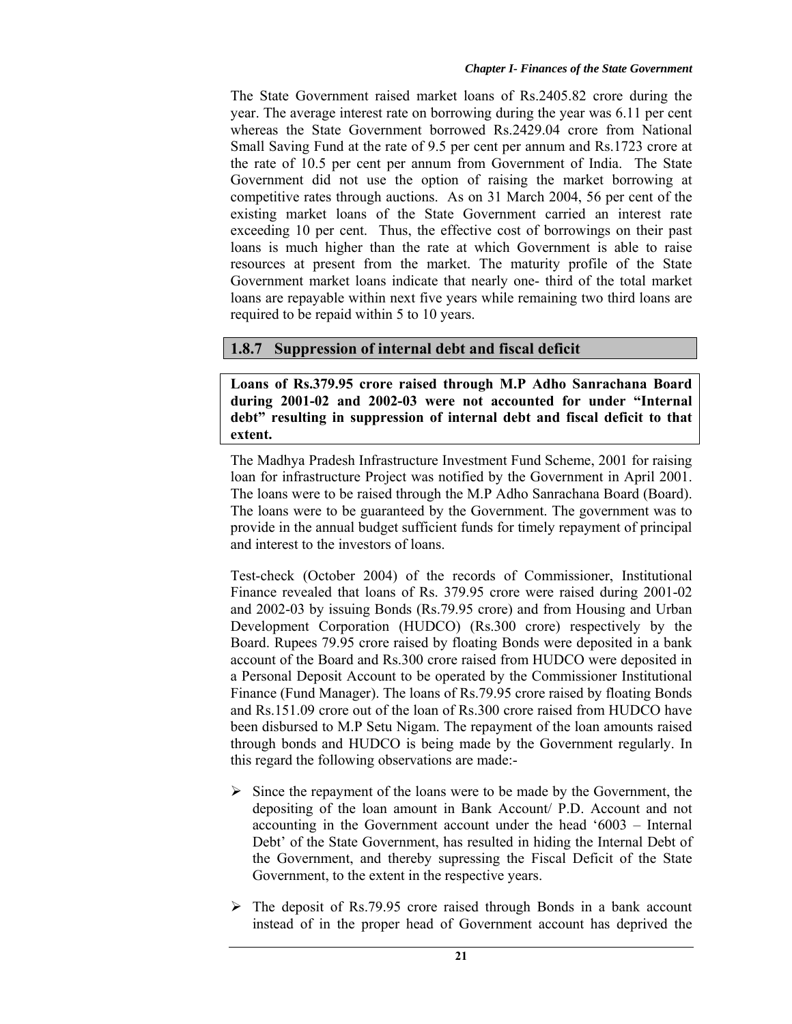The State Government raised market loans of Rs.2405.82 crore during the year. The average interest rate on borrowing during the year was 6.11 per cent whereas the State Government borrowed Rs.2429.04 crore from National Small Saving Fund at the rate of 9.5 per cent per annum and Rs.1723 crore at the rate of 10.5 per cent per annum from Government of India. The State Government did not use the option of raising the market borrowing at competitive rates through auctions.As on 31 March 2004, 56 per cent of the existing market loans of the State Government carried an interest rate exceeding 10 per cent. Thus, the effective cost of borrowings on their past loans is much higher than the rate at which Government is able to raise resources at present from the market. The maturity profile of the State Government market loans indicate that nearly one- third of the total market loans are repayable within next five years while remaining two third loans are required to be repaid within 5 to 10 years.

# **1.8.7 Suppression of internal debt and fiscal deficit**

**Loans of Rs.379.95 crore raised through M.P Adho Sanrachana Board during 2001-02 and 2002-03 were not accounted for under "Internal debt" resulting in suppression of internal debt and fiscal deficit to that extent.** 

The Madhya Pradesh Infrastructure Investment Fund Scheme, 2001 for raising loan for infrastructure Project was notified by the Government in April 2001. The loans were to be raised through the M.P Adho Sanrachana Board (Board). The loans were to be guaranteed by the Government. The government was to provide in the annual budget sufficient funds for timely repayment of principal and interest to the investors of loans.

Test-check (October 2004) of the records of Commissioner, Institutional Finance revealed that loans of Rs. 379.95 crore were raised during 2001-02 and 2002-03 by issuing Bonds (Rs.79.95 crore) and from Housing and Urban Development Corporation (HUDCO) (Rs.300 crore) respectively by the Board. Rupees 79.95 crore raised by floating Bonds were deposited in a bank account of the Board and Rs.300 crore raised from HUDCO were deposited in a Personal Deposit Account to be operated by the Commissioner Institutional Finance (Fund Manager). The loans of Rs.79.95 crore raised by floating Bonds and Rs.151.09 crore out of the loan of Rs.300 crore raised from HUDCO have been disbursed to M.P Setu Nigam. The repayment of the loan amounts raised through bonds and HUDCO is being made by the Government regularly. In this regard the following observations are made:-

- $\triangleright$  Since the repayment of the loans were to be made by the Government, the depositing of the loan amount in Bank Account/ P.D. Account and not accounting in the Government account under the head '6003 – Internal Debt' of the State Government, has resulted in hiding the Internal Debt of the Government, and thereby supressing the Fiscal Deficit of the State Government, to the extent in the respective years.
- $\triangleright$  The deposit of Rs.79.95 crore raised through Bonds in a bank account instead of in the proper head of Government account has deprived the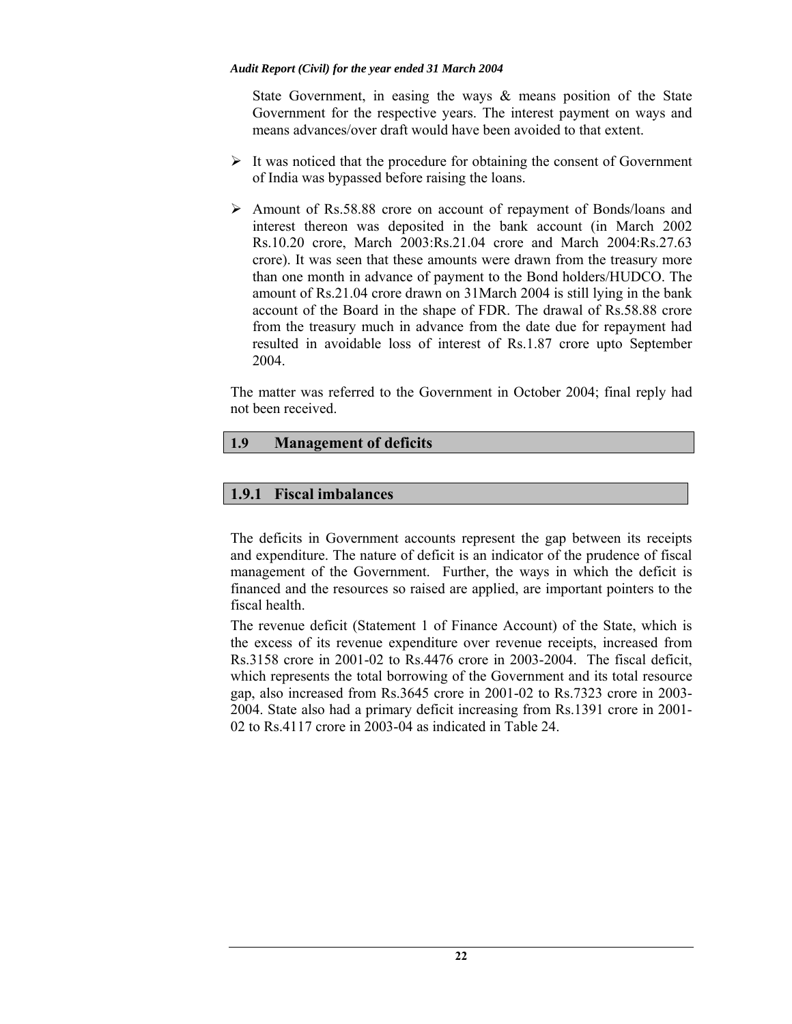State Government, in easing the ways  $\&$  means position of the State Government for the respective years. The interest payment on ways and means advances/over draft would have been avoided to that extent.

- $\triangleright$  It was noticed that the procedure for obtaining the consent of Government of India was bypassed before raising the loans.
- ¾ Amount of Rs.58.88 crore on account of repayment of Bonds/loans and interest thereon was deposited in the bank account (in March 2002 Rs.10.20 crore, March 2003:Rs.21.04 crore and March 2004:Rs.27.63 crore). It was seen that these amounts were drawn from the treasury more than one month in advance of payment to the Bond holders/HUDCO. The amount of Rs.21.04 crore drawn on 31March 2004 is still lying in the bank account of the Board in the shape of FDR. The drawal of Rs.58.88 crore from the treasury much in advance from the date due for repayment had resulted in avoidable loss of interest of Rs.1.87 crore upto September 2004.

The matter was referred to the Government in October 2004; final reply had not been received.

# **1.9 Management of deficits**

# **1.9.1 Fiscal imbalances**

The deficits in Government accounts represent the gap between its receipts and expenditure. The nature of deficit is an indicator of the prudence of fiscal management of the Government. Further, the ways in which the deficit is financed and the resources so raised are applied, are important pointers to the fiscal health.

The revenue deficit (Statement 1 of Finance Account) of the State, which is the excess of its revenue expenditure over revenue receipts, increased from Rs.3158 crore in 2001-02 to Rs.4476 crore in 2003-2004. The fiscal deficit, which represents the total borrowing of the Government and its total resource gap, also increased from Rs.3645 crore in 2001-02 to Rs.7323 crore in 2003- 2004. State also had a primary deficit increasing from Rs.1391 crore in 2001- 02 to Rs.4117 crore in 2003-04 as indicated in Table 24.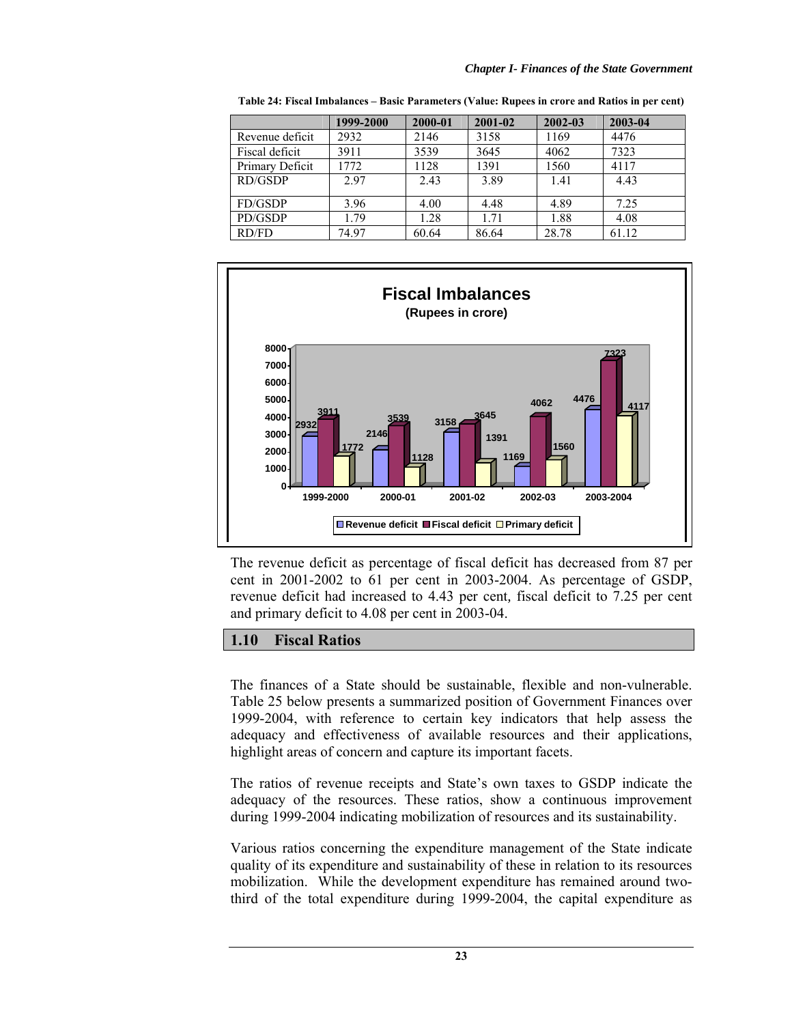|                 | 1999-2000 | 2000-01 | 2001-02 | 2002-03 | 2003-04 |
|-----------------|-----------|---------|---------|---------|---------|
| Revenue deficit | 2932      | 2146    | 3158    | 1169    | 4476    |
| Fiscal deficit  | 3911      | 3539    | 3645    | 4062    | 7323    |
| Primary Deficit | 1772      | 1128    | 1391    | 1560    | 4117    |
| RD/GSDP         | 2.97      | 2.43    | 3.89    | 1.41    | 4.43    |
| FD/GSDP         | 3.96      | 4.00    | 4.48    | 4.89    | 7.25    |
| PD/GSDP         | 1.79      | 1.28    | 1.71    | 1.88    | 4.08    |
| RD/FD           | 74.97     | 60.64   | 86.64   | 28.78   | 61.12   |

**Table 24: Fiscal Imbalances – Basic Parameters (Value: Rupees in crore and Ratios in per cent)** 



The revenue deficit as percentage of fiscal deficit has decreased from 87 per cent in 2001-2002 to 61 per cent in 2003-2004. As percentage of GSDP, revenue deficit had increased to 4.43 per cent*,* fiscal deficit to 7.25 per cent and primary deficit to 4.08 per cent in 2003-04.

## **1.10 Fiscal Ratios**

The finances of a State should be sustainable, flexible and non-vulnerable. Table 25 below presents a summarized position of Government Finances over 1999-2004, with reference to certain key indicators that help assess the adequacy and effectiveness of available resources and their applications, highlight areas of concern and capture its important facets.

The ratios of revenue receipts and State's own taxes to GSDP indicate the adequacy of the resources. These ratios, show a continuous improvement during 1999-2004 indicating mobilization of resources and its sustainability.

Various ratios concerning the expenditure management of the State indicate quality of its expenditure and sustainability of these in relation to its resources mobilization. While the development expenditure has remained around twothird of the total expenditure during 1999-2004, the capital expenditure as